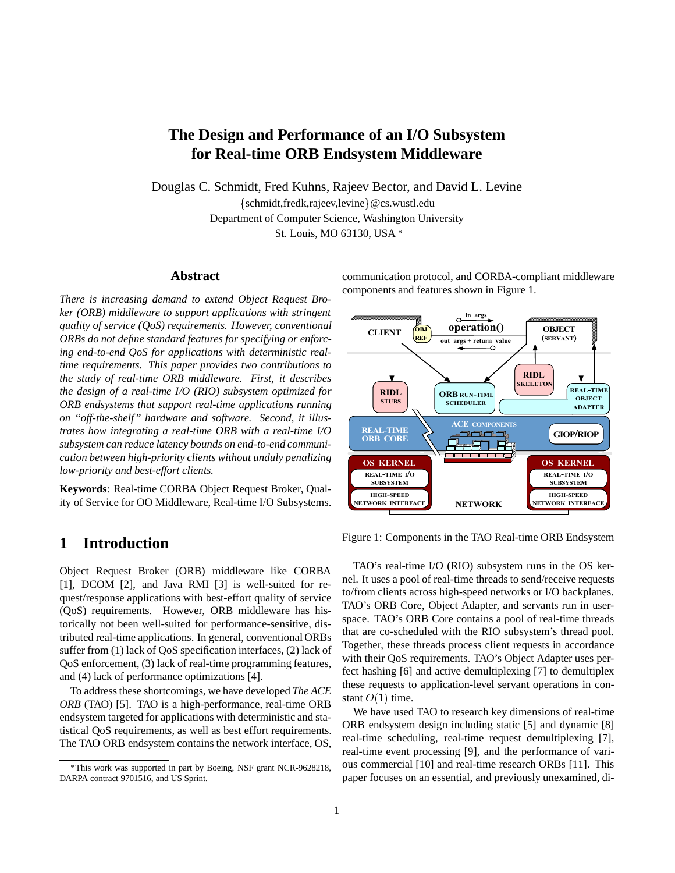# **The Design and Performance of an I/O Subsystem for Real-time ORB Endsystem Middleware**

Douglas C. Schmidt, Fred Kuhns, Rajeev Bector, and David L. Levine {schmidt,fredk,rajeev,levine}@cs.wustl.edu

Department of Computer Science, Washington University

St. Louis, MO 63130, USA

## **Abstract**

*There is increasing demand to extend Object Request Broker (ORB) middleware to support applications with stringent quality of service (QoS) requirements. However, conventional ORBs do not define standard features for specifying or enforcing end-to-end QoS for applications with deterministic realtime requirements. This paper provides two contributions to the study of real-time ORB middleware. First, it describes the design of a real-time I/O (RIO) subsystem optimized for ORB endsystems that support real-time applications running on "off-the-shelf" hardware and software. Second, it illustrates how integrating a real-time ORB with a real-time I/O subsystem can reduce latency bounds on end-to-end communication between high-priority clients without unduly penalizing low-priority and best-effort clients.*

**Keywords**: Real-time CORBA Object Request Broker, Quality of Service for OO Middleware, Real-time I/O Subsystems.

# **1 Introduction**

Object Request Broker (ORB) middleware like CORBA [1], DCOM [2], and Java RMI [3] is well-suited for request/response applications with best-effort quality of service (QoS) requirements. However, ORB middleware has historically not been well-suited for performance-sensitive, distributed real-time applications. In general, conventional ORBs suffer from (1) lack of QoS specification interfaces, (2) lack of QoS enforcement, (3) lack of real-time programming features, and (4) lack of performance optimizations [4].

To address these shortcomings, we have developed *The ACE ORB* (TAO) [5]. TAO is a high-performance, real-time ORB endsystem targeted for applications with deterministic and statistical QoS requirements, as well as best effort requirements. The TAO ORB endsystem contains the network interface, OS, communication protocol, and CORBA-compliant middleware components and features shown in Figure 1.



Figure 1: Components in the TAO Real-time ORB Endsystem

TAO's real-time I/O (RIO) subsystem runs in the OS kernel. It uses a pool of real-time threads to send/receive requests to/from clients across high-speed networks or I/O backplanes. TAO's ORB Core, Object Adapter, and servants run in userspace. TAO's ORB Core contains a pool of real-time threads that are co-scheduled with the RIO subsystem's thread pool. Together, these threads process client requests in accordance with their QoS requirements. TAO's Object Adapter uses perfect hashing [6] and active demultiplexing [7] to demultiplex these requests to application-level servant operations in constant  $O(1)$  time.

We have used TAO to research key dimensions of real-time ORB endsystem design including static [5] and dynamic [8] real-time scheduling, real-time request demultiplexing [7], real-time event processing [9], and the performance of various commercial [10] and real-time research ORBs [11]. This paper focuses on an essential, and previously unexamined, di-

This work was supported in part by Boeing, NSF grant NCR-9628218, DARPA contract 9701516, and US Sprint.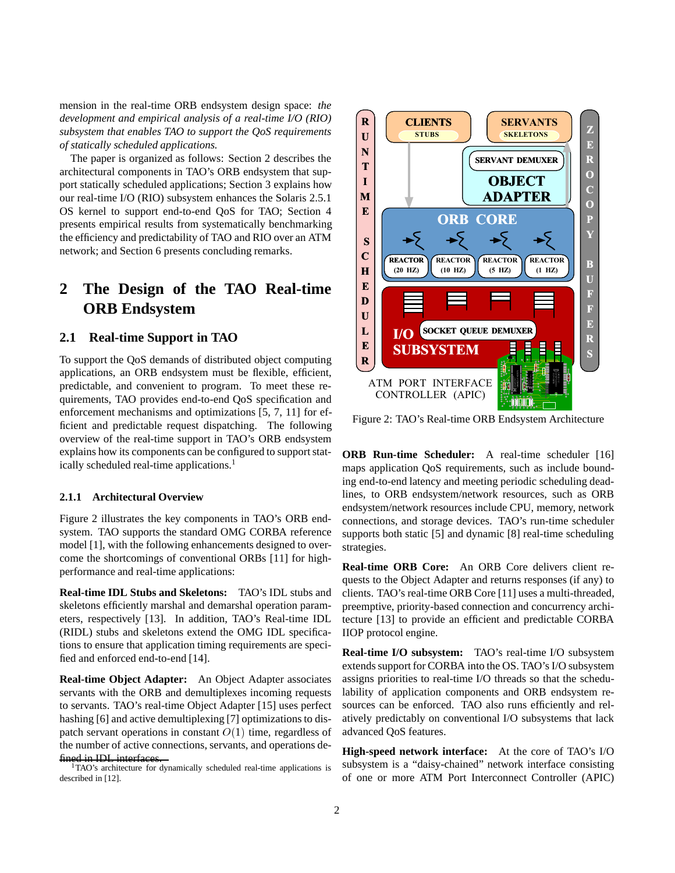mension in the real-time ORB endsystem design space: *the development and empirical analysis of a real-time I/O (RIO) subsystem that enables TAO to support the QoS requirements of statically scheduled applications.*

The paper is organized as follows: Section 2 describes the architectural components in TAO's ORB endsystem that support statically scheduled applications; Section 3 explains how our real-time I/O (RIO) subsystem enhances the Solaris 2.5.1 OS kernel to support end-to-end QoS for TAO; Section 4 presents empirical results from systematically benchmarking the efficiency and predictability of TAO and RIO over an ATM network; and Section 6 presents concluding remarks.

# **2 The Design of the TAO Real-time ORB Endsystem**

## **2.1 Real-time Support in TAO**

To support the QoS demands of distributed object computing applications, an ORB endsystem must be flexible, efficient, predictable, and convenient to program. To meet these requirements, TAO provides end-to-end QoS specification and enforcement mechanisms and optimizations [5, 7, 11] for efficient and predictable request dispatching. The following overview of the real-time support in TAO's ORB endsystem explains how its components can be configured to support statically scheduled real-time applications.<sup>1</sup>

## **2.1.1 Architectural Overview**

Figure 2 illustrates the key components in TAO's ORB endsystem. TAO supports the standard OMG CORBA reference model [1], with the following enhancements designed to overcome the shortcomings of conventional ORBs [11] for highperformance and real-time applications:

**Real-time IDL Stubs and Skeletons:** TAO's IDL stubs and skeletons efficiently marshal and demarshal operation parameters, respectively [13]. In addition, TAO's Real-time IDL (RIDL) stubs and skeletons extend the OMG IDL specifications to ensure that application timing requirements are specified and enforced end-to-end [14].

**Real-time Object Adapter:** An Object Adapter associates servants with the ORB and demultiplexes incoming requests to servants. TAO's real-time Object Adapter [15] uses perfect hashing [6] and active demultiplexing [7] optimizations to dispatch servant operations in constant  $O(1)$  time, regardless of the number of active connections, servants, and operations defined in IDL interfaces.<br><sup>1</sup>TAO's architecture for dynamically scheduled real-time applications is

described in [12].



Figure 2: TAO's Real-time ORB Endsystem Architecture

**ORB Run-time Scheduler:** A real-time scheduler [16] maps application QoS requirements, such as include bounding end-to-end latency and meeting periodic scheduling deadlines, to ORB endsystem/network resources, such as ORB endsystem/network resources include CPU, memory, network connections, and storage devices. TAO's run-time scheduler supports both static [5] and dynamic [8] real-time scheduling strategies.

**Real-time ORB Core:** An ORB Core delivers client requests to the Object Adapter and returns responses (if any) to clients. TAO's real-time ORB Core [11] uses a multi-threaded, preemptive, priority-based connection and concurrency architecture [13] to provide an efficient and predictable CORBA IIOP protocol engine.

**Real-time I/O subsystem:** TAO's real-time I/O subsystem extends support for CORBA into the OS. TAO's I/O subsystem assigns priorities to real-time I/O threads so that the schedulability of application components and ORB endsystem resources can be enforced. TAO also runs efficiently and relatively predictably on conventional I/O subsystems that lack advanced QoS features.

**High-speed network interface:** At the core of TAO's I/O subsystem is a "daisy-chained" network interface consisting of one or more ATM Port Interconnect Controller (APIC)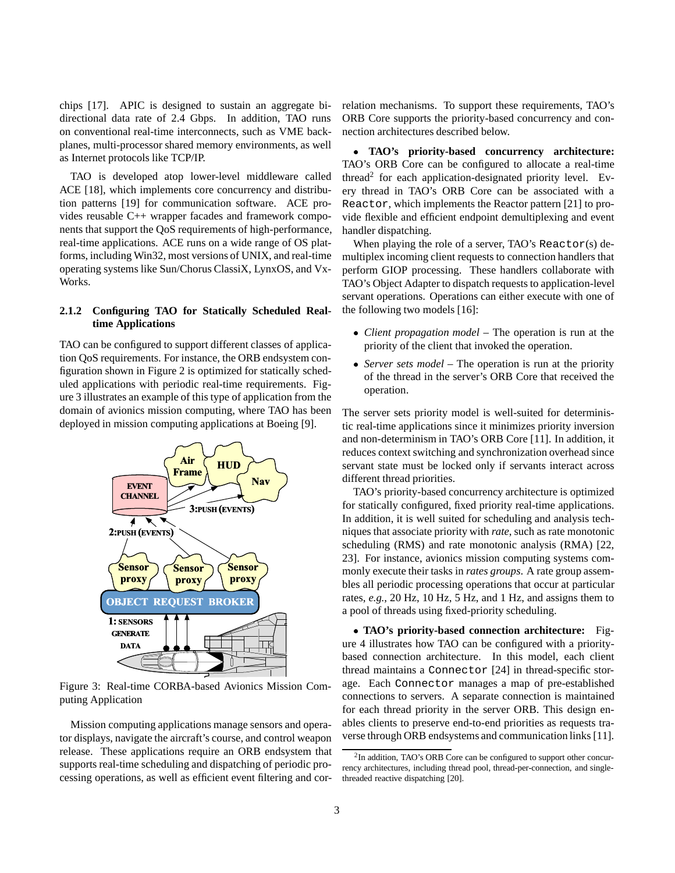chips [17]. APIC is designed to sustain an aggregate bidirectional data rate of 2.4 Gbps. In addition, TAO runs on conventional real-time interconnects, such as VME backplanes, multi-processor shared memory environments, as well as Internet protocols like TCP/IP.

TAO is developed atop lower-level middleware called ACE [18], which implements core concurrency and distribution patterns [19] for communication software. ACE provides reusable C++ wrapper facades and framework components that support the QoS requirements of high-performance, real-time applications. ACE runs on a wide range of OS platforms, including Win32, most versions of UNIX, and real-time operating systems like Sun/Chorus ClassiX, LynxOS, and Vx-Works.

## **2.1.2 Configuring TAO for Statically Scheduled Realtime Applications**

TAO can be configured to support different classes of application QoS requirements. For instance, the ORB endsystem configuration shown in Figure 2 is optimized for statically scheduled applications with periodic real-time requirements. Figure 3 illustrates an example of this type of application from the domain of avionics mission computing, where TAO has been deployed in mission computing applications at Boeing [9].



Figure 3: Real-time CORBA-based Avionics Mission Computing Application

Mission computing applications manage sensors and operator displays, navigate the aircraft's course, and control weapon release. These applications require an ORB endsystem that supports real-time scheduling and dispatching of periodic processing operations, as well as efficient event filtering and correlation mechanisms. To support these requirements, TAO's ORB Core supports the priority-based concurrency and connection architectures described below.

۰ **TAO's priority-based concurrency architecture:** TAO's ORB Core can be configured to allocate a real-time thread<sup>2</sup> for each application-designated priority level. Every thread in TAO's ORB Core can be associated with a Reactor, which implements the Reactor pattern [21] to provide flexible and efficient endpoint demultiplexing and event handler dispatching.

When playing the role of a server, TAO's Reactor(s) demultiplex incoming client requests to connection handlers that perform GIOP processing. These handlers collaborate with TAO's Object Adapter to dispatch requests to application-level servant operations. Operations can either execute with one of the following two models [16]:

- *Client propagation model* The operation is run at the priority of the client that invoked the operation.
- *Server sets model* The operation is run at the priority of the thread in the server's ORB Core that received the operation.

The server sets priority model is well-suited for deterministic real-time applications since it minimizes priority inversion and non-determinism in TAO's ORB Core [11]. In addition, it reduces context switching and synchronization overhead since servant state must be locked only if servants interact across different thread priorities.

TAO's priority-based concurrency architecture is optimized for statically configured, fixed priority real-time applications. In addition, it is well suited for scheduling and analysis techniques that associate priority with *rate*, such as rate monotonic scheduling (RMS) and rate monotonic analysis (RMA) [22, 23]. For instance, avionics mission computing systems commonly execute their tasks in *rates groups*. A rate group assembles all periodic processing operations that occur at particular rates, *e.g.*, 20 Hz, 10 Hz, 5 Hz, and 1 Hz, and assigns them to a pool of threads using fixed-priority scheduling.

 **TAO's priority-based connection architecture:** Figure 4 illustrates how TAO can be configured with a prioritybased connection architecture. In this model, each client thread maintains a Connector [24] in thread-specific storage. Each Connector manages a map of pre-established connections to servers. A separate connection is maintained for each thread priority in the server ORB. This design enables clients to preserve end-to-end priorities as requests traverse through ORB endsystems and communication links [11].

<sup>2</sup>In addition, TAO's ORB Core can be configured to support other concurrency architectures, including thread pool, thread-per-connection, and singlethreaded reactive dispatching [20].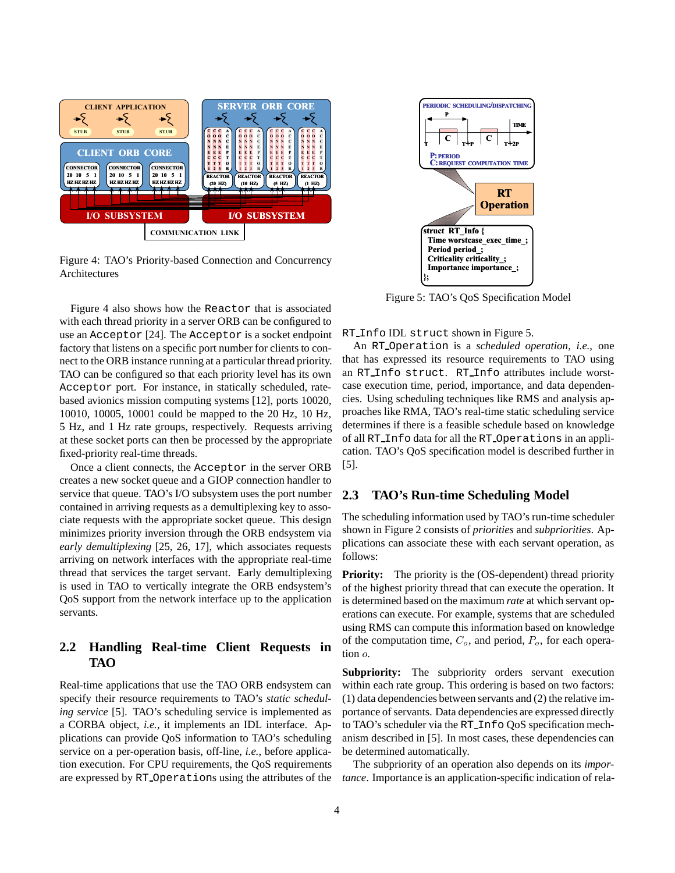

Figure 4: TAO's Priority-based Connection and Concurrency Architectures

Figure 4 also shows how the Reactor that is associated with each thread priority in a server ORB can be configured to use an Acceptor [24]. The Acceptor is a socket endpoint factory that listens on a specific port number for clients to connect to the ORB instance running at a particular thread priority. TAO can be configured so that each priority level has its own Acceptor port. For instance, in statically scheduled, ratebased avionics mission computing systems [12], ports 10020, 10010, 10005, 10001 could be mapped to the 20 Hz, 10 Hz, 5 Hz, and 1 Hz rate groups, respectively. Requests arriving at these socket ports can then be processed by the appropriate fixed-priority real-time threads.

Once a client connects, the Acceptor in the server ORB creates a new socket queue and a GIOP connection handler to service that queue. TAO's I/O subsystem uses the port number contained in arriving requests as a demultiplexing key to associate requests with the appropriate socket queue. This design minimizes priority inversion through the ORB endsystem via *early demultiplexing* [25, 26, 17], which associates requests arriving on network interfaces with the appropriate real-time thread that services the target servant. Early demultiplexing is used in TAO to vertically integrate the ORB endsystem's QoS support from the network interface up to the application servants.

# **2.2 Handling Real-time Client Requests in TAO**

Real-time applications that use the TAO ORB endsystem can specify their resource requirements to TAO's *static scheduling service* [5]. TAO's scheduling service is implemented as a CORBA object, *i.e.*, it implements an IDL interface. Applications can provide QoS information to TAO's scheduling service on a per-operation basis, off-line, *i.e.*, before application execution. For CPU requirements, the QoS requirements are expressed by RT Operations using the attributes of the



Figure 5: TAO's QoS Specification Model

RT Info IDL struct shown in Figure 5.

An RT Operation is a *scheduled operation*, *i.e.*, one that has expressed its resource requirements to TAO using an RT Info struct. RT Info attributes include worstcase execution time, period, importance, and data dependencies. Using scheduling techniques like RMS and analysis approaches like RMA, TAO's real-time static scheduling service determines if there is a feasible schedule based on knowledge of all RT Info data for all the RT Operations in an application. TAO's QoS specification model is described further in [5].

## **2.3 TAO's Run-time Scheduling Model**

The scheduling information used by TAO's run-time scheduler shown in Figure 2 consists of *priorities* and *subpriorities*. Applications can associate these with each servant operation, as follows:

**Priority:** The priority is the (OS-dependent) thread priority of the highest priority thread that can execute the operation. It is determined based on the maximum *rate* at which servant operations can execute. For example, systems that are scheduled using RMS can compute this information based on knowledge of the computation time,  $C<sub>o</sub>$ , and period,  $P<sub>o</sub>$ , for each operation <sup>o</sup>.

**Subpriority:** The subpriority orders servant execution within each rate group. This ordering is based on two factors: (1) data dependencies between servants and (2) the relative importance of servants. Data dependencies are expressed directly to TAO's scheduler via the RT Info QoS specification mechanism described in [5]. In most cases, these dependencies can be determined automatically.

The subpriority of an operation also depends on its *importance*. Importance is an application-specific indication of rela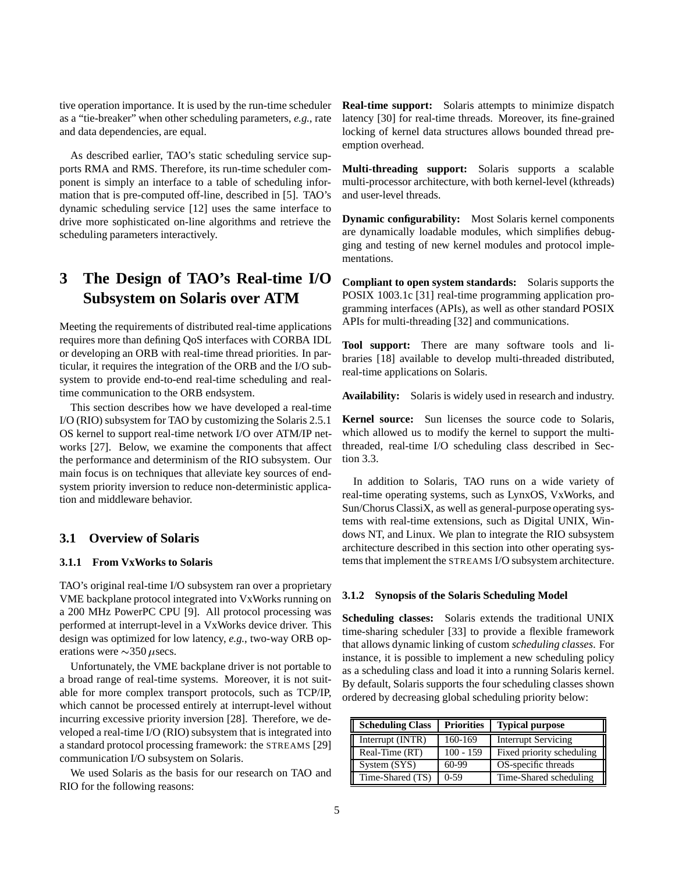tive operation importance. It is used by the run-time scheduler as a "tie-breaker" when other scheduling parameters, *e.g.*, rate and data dependencies, are equal.

As described earlier, TAO's static scheduling service supports RMA and RMS. Therefore, its run-time scheduler component is simply an interface to a table of scheduling information that is pre-computed off-line, described in [5]. TAO's dynamic scheduling service [12] uses the same interface to drive more sophisticated on-line algorithms and retrieve the scheduling parameters interactively.

# **3 The Design of TAO's Real-time I/O Subsystem on Solaris over ATM**

Meeting the requirements of distributed real-time applications requires more than defining QoS interfaces with CORBA IDL or developing an ORB with real-time thread priorities. In particular, it requires the integration of the ORB and the I/O subsystem to provide end-to-end real-time scheduling and realtime communication to the ORB endsystem.

This section describes how we have developed a real-time I/O (RIO) subsystem for TAO by customizing the Solaris 2.5.1 OS kernel to support real-time network I/O over ATM/IP networks [27]. Below, we examine the components that affect the performance and determinism of the RIO subsystem. Our main focus is on techniques that alleviate key sources of endsystem priority inversion to reduce non-deterministic application and middleware behavior.

# **3.1 Overview of Solaris**

## **3.1.1 From VxWorks to Solaris**

TAO's original real-time I/O subsystem ran over a proprietary VME backplane protocol integrated into VxWorks running on a 200 MHz PowerPC CPU [9]. All protocol processing was performed at interrupt-level in a VxWorks device driver. This design was optimized for low latency, *e.g.*, two-way ORB operations were  $\sim$ 350  $\mu$ secs.

Unfortunately, the VME backplane driver is not portable to a broad range of real-time systems. Moreover, it is not suitable for more complex transport protocols, such as TCP/IP, which cannot be processed entirely at interrupt-level without incurring excessive priority inversion [28]. Therefore, we developed a real-time I/O (RIO) subsystem that is integrated into a standard protocol processing framework: the STREAMS [29] communication I/O subsystem on Solaris.

We used Solaris as the basis for our research on TAO and RIO for the following reasons:

**Real-time support:** Solaris attempts to minimize dispatch latency [30] for real-time threads. Moreover, its fine-grained locking of kernel data structures allows bounded thread preemption overhead.

**Multi-threading support:** Solaris supports a scalable multi-processor architecture, with both kernel-level (kthreads) and user-level threads.

**Dynamic configurability:** Most Solaris kernel components are dynamically loadable modules, which simplifies debugging and testing of new kernel modules and protocol implementations.

**Compliant to open system standards:** Solaris supports the POSIX 1003.1c [31] real-time programming application programming interfaces (APIs), as well as other standard POSIX APIs for multi-threading [32] and communications.

**Tool support:** There are many software tools and libraries [18] available to develop multi-threaded distributed, real-time applications on Solaris.

**Availability:** Solaris is widely used in research and industry.

**Kernel source:** Sun licenses the source code to Solaris, which allowed us to modify the kernel to support the multithreaded, real-time I/O scheduling class described in Section 3.3.

In addition to Solaris, TAO runs on a wide variety of real-time operating systems, such as LynxOS, VxWorks, and Sun/Chorus ClassiX, as well as general-purpose operating systems with real-time extensions, such as Digital UNIX, Windows NT, and Linux. We plan to integrate the RIO subsystem architecture described in this section into other operating systems that implement the STREAMS I/O subsystem architecture.

#### **3.1.2 Synopsis of the Solaris Scheduling Model**

**Scheduling classes:** Solaris extends the traditional UNIX time-sharing scheduler [33] to provide a flexible framework that allows dynamic linking of custom *scheduling classes*. For instance, it is possible to implement a new scheduling policy as a scheduling class and load it into a running Solaris kernel. By default, Solaris supports the four scheduling classes shown ordered by decreasing global scheduling priority below:

| <b>Scheduling Class</b> | <b>Priorities</b> | <b>Typical purpose</b>     |  |
|-------------------------|-------------------|----------------------------|--|
| Interrupt (INTR)        | 160-169           | <b>Interrupt Servicing</b> |  |
| Real-Time (RT)          | $100 - 159$       | Fixed priority scheduling  |  |
| System (SYS)            | $60-99$           | OS-specific threads        |  |
| Time-Shared (TS)        | $0-59$            | Time-Shared scheduling     |  |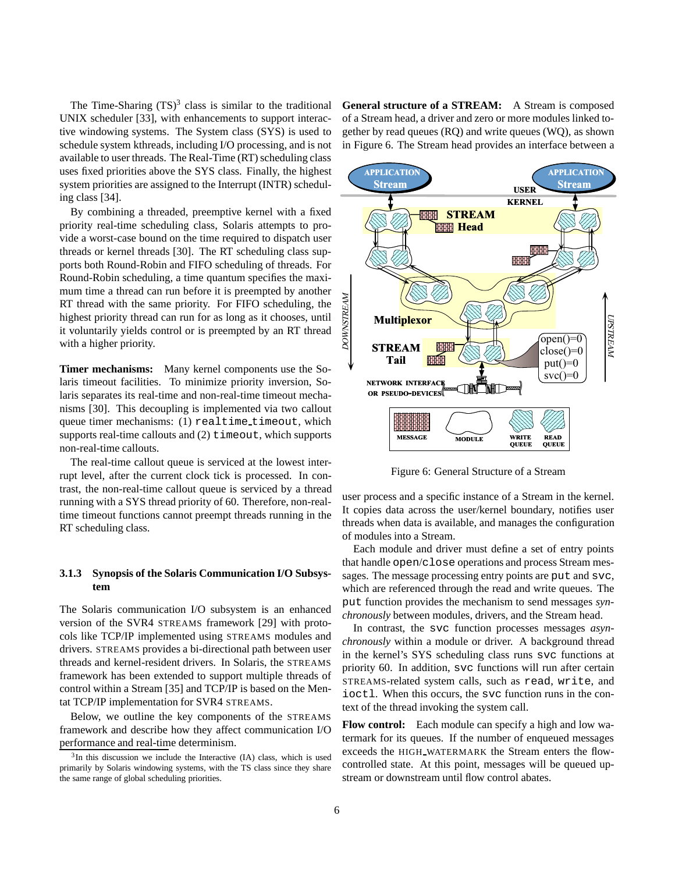The Time-Sharing  $(TS)^3$  class is similar to the traditional UNIX scheduler [33], with enhancements to support interactive windowing systems. The System class (SYS) is used to schedule system kthreads, including I/O processing, and is not available to user threads. The Real-Time (RT) scheduling class uses fixed priorities above the SYS class. Finally, the highest system priorities are assigned to the Interrupt (INTR) scheduling class [34].

By combining a threaded, preemptive kernel with a fixed priority real-time scheduling class, Solaris attempts to provide a worst-case bound on the time required to dispatch user threads or kernel threads [30]. The RT scheduling class supports both Round-Robin and FIFO scheduling of threads. For Round-Robin scheduling, a time quantum specifies the maximum time a thread can run before it is preempted by another RT thread with the same priority. For FIFO scheduling, the highest priority thread can run for as long as it chooses, until it voluntarily yields control or is preempted by an RT thread with a higher priority.

**Timer mechanisms:** Many kernel components use the Solaris timeout facilities. To minimize priority inversion, Solaris separates its real-time and non-real-time timeout mechanisms [30]. This decoupling is implemented via two callout queue timer mechanisms: (1) realtime timeout, which supports real-time callouts and (2) timeout, which supports non-real-time callouts.

The real-time callout queue is serviced at the lowest interrupt level, after the current clock tick is processed. In contrast, the non-real-time callout queue is serviced by a thread running with a SYS thread priority of 60. Therefore, non-realtime timeout functions cannot preempt threads running in the RT scheduling class.

# **3.1.3 Synopsis of the Solaris Communication I/O Subsystem**

The Solaris communication I/O subsystem is an enhanced version of the SVR4 STREAMS framework [29] with protocols like TCP/IP implemented using STREAMS modules and drivers. STREAMS provides a bi-directional path between user threads and kernel-resident drivers. In Solaris, the STREAMS framework has been extended to support multiple threads of control within a Stream [35] and TCP/IP is based on the Mentat TCP/IP implementation for SVR4 STREAMS.

Below, we outline the key components of the STREAMS framework and describe how they affect communication I/O performance and real-time determinism.

**General structure of a STREAM:** A Stream is composed of a Stream head, a driver and zero or more modules linked together by read queues (RQ) and write queues (WQ), as shown in Figure 6. The Stream head provides an interface between a



Figure 6: General Structure of a Stream

user process and a specific instance of a Stream in the kernel. It copies data across the user/kernel boundary, notifies user threads when data is available, and manages the configuration of modules into a Stream.

Each module and driver must define a set of entry points that handle open/close operations and process Stream messages. The message processing entry points are put and svc, which are referenced through the read and write queues. The put function provides the mechanism to send messages *synchronously* between modules, drivers, and the Stream head.

In contrast, the svc function processes messages *asynchronously* within a module or driver. A background thread in the kernel's SYS scheduling class runs svc functions at priority 60. In addition, svc functions will run after certain STREAMS-related system calls, such as read, write, and ioctl. When this occurs, the svc function runs in the context of the thread invoking the system call.

**Flow control:** Each module can specify a high and low watermark for its queues. If the number of enqueued messages exceeds the HIGH WATERMARK the Stream enters the flowcontrolled state. At this point, messages will be queued upstream or downstream until flow control abates.

 $3\text{In this discussion we include the Interactive (IA) class, which is used.}$ primarily by Solaris windowing systems, with the TS class since they share the same range of global scheduling priorities.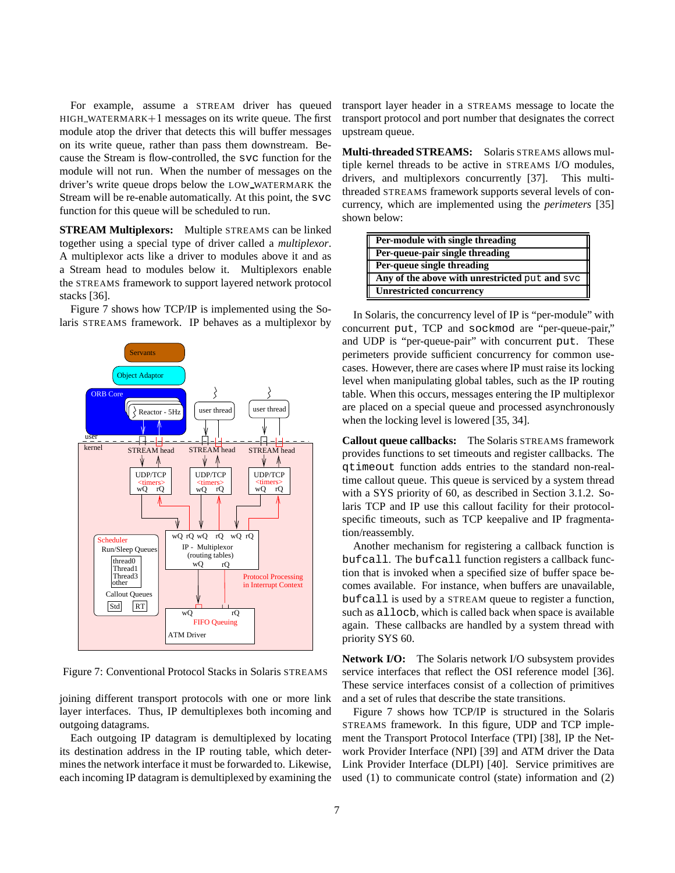For example, assume a STREAM driver has queued  $HIGH_WATERMARK+1$  messages on its write queue. The first module atop the driver that detects this will buffer messages on its write queue, rather than pass them downstream. Because the Stream is flow-controlled, the svc function for the module will not run. When the number of messages on the driver's write queue drops below the LOW WATERMARK the Stream will be re-enable automatically. At this point, the svc function for this queue will be scheduled to run.

**STREAM Multiplexors:** Multiple STREAMS can be linked together using a special type of driver called a *multiplexor*. A multiplexor acts like a driver to modules above it and as a Stream head to modules below it. Multiplexors enable the STREAMS framework to support layered network protocol stacks [36].

Figure 7 shows how TCP/IP is implemented using the Solaris STREAMS framework. IP behaves as a multiplexor by



Figure 7: Conventional Protocol Stacks in Solaris STREAMS

joining different transport protocols with one or more link layer interfaces. Thus, IP demultiplexes both incoming and outgoing datagrams.

Each outgoing IP datagram is demultiplexed by locating its destination address in the IP routing table, which determines the network interface it must be forwarded to. Likewise, each incoming IP datagram is demultiplexed by examining the transport layer header in a STREAMS message to locate the transport protocol and port number that designates the correct upstream queue.

**Multi-threaded STREAMS:** Solaris STREAMS allows multiple kernel threads to be active in STREAMS I/O modules, drivers, and multiplexors concurrently [37]. This multithreaded STREAMS framework supports several levels of concurrency, which are implemented using the *perimeters* [35] shown below:

| Per-module with single threading               |
|------------------------------------------------|
| Per-queue-pair single threading                |
| Per-queue single threading                     |
| Any of the above with unrestricted put and syc |
| <b>Unrestricted concurrency</b>                |

In Solaris, the concurrency level of IP is "per-module" with concurrent put, TCP and sockmod are "per-queue-pair," and UDP is "per-queue-pair" with concurrent put. These perimeters provide sufficient concurrency for common usecases. However, there are cases where IP must raise its locking level when manipulating global tables, such as the IP routing table. When this occurs, messages entering the IP multiplexor are placed on a special queue and processed asynchronously when the locking level is lowered [35, 34].

**Callout queue callbacks:** The Solaris STREAMS framework provides functions to set timeouts and register callbacks. The qtimeout function adds entries to the standard non-realtime callout queue. This queue is serviced by a system thread with a SYS priority of 60, as described in Section 3.1.2. Solaris TCP and IP use this callout facility for their protocolspecific timeouts, such as TCP keepalive and IP fragmentation/reassembly.

Another mechanism for registering a callback function is bufcall. The bufcall function registers a callback function that is invoked when a specified size of buffer space becomes available. For instance, when buffers are unavailable, bufcall is used by a STREAM queue to register a function, such as allocb, which is called back when space is available again. These callbacks are handled by a system thread with priority SYS 60.

**Network I/O:** The Solaris network I/O subsystem provides service interfaces that reflect the OSI reference model [36]. These service interfaces consist of a collection of primitives and a set of rules that describe the state transitions.

Figure 7 shows how TCP/IP is structured in the Solaris STREAMS framework. In this figure, UDP and TCP implement the Transport Protocol Interface (TPI) [38], IP the Network Provider Interface (NPI) [39] and ATM driver the Data Link Provider Interface (DLPI) [40]. Service primitives are used (1) to communicate control (state) information and (2)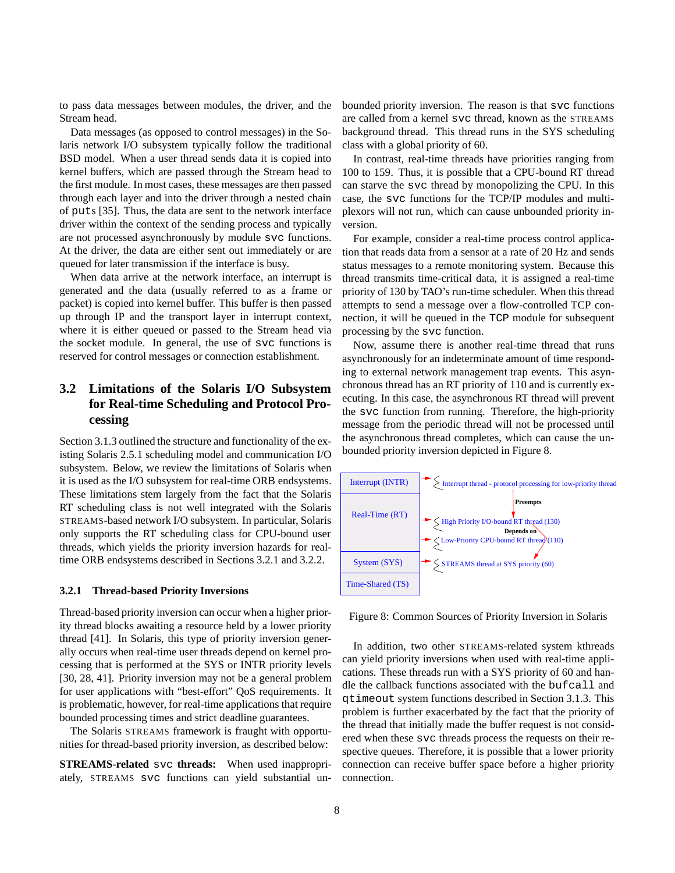to pass data messages between modules, the driver, and the Stream head.

Data messages (as opposed to control messages) in the Solaris network I/O subsystem typically follow the traditional BSD model. When a user thread sends data it is copied into kernel buffers, which are passed through the Stream head to the first module. In most cases, these messages are then passed through each layer and into the driver through a nested chain of puts [35]. Thus, the data are sent to the network interface driver within the context of the sending process and typically are not processed asynchronously by module svc functions. At the driver, the data are either sent out immediately or are queued for later transmission if the interface is busy.

When data arrive at the network interface, an interrupt is generated and the data (usually referred to as a frame or packet) is copied into kernel buffer. This buffer is then passed up through IP and the transport layer in interrupt context, where it is either queued or passed to the Stream head via the socket module. In general, the use of svc functions is reserved for control messages or connection establishment.

# **3.2 Limitations of the Solaris I/O Subsystem for Real-time Scheduling and Protocol Processing**

Section 3.1.3 outlined the structure and functionality of the existing Solaris 2.5.1 scheduling model and communication I/O subsystem. Below, we review the limitations of Solaris when it is used as the I/O subsystem for real-time ORB endsystems. These limitations stem largely from the fact that the Solaris RT scheduling class is not well integrated with the Solaris STREAMS-based network I/O subsystem. In particular, Solaris only supports the RT scheduling class for CPU-bound user threads, which yields the priority inversion hazards for realtime ORB endsystems described in Sections 3.2.1 and 3.2.2.

#### **3.2.1 Thread-based Priority Inversions**

Thread-based priority inversion can occur when a higher priority thread blocks awaiting a resource held by a lower priority thread [41]. In Solaris, this type of priority inversion generally occurs when real-time user threads depend on kernel processing that is performed at the SYS or INTR priority levels [30, 28, 41]. Priority inversion may not be a general problem for user applications with "best-effort" QoS requirements. It is problematic, however, for real-time applications that require bounded processing times and strict deadline guarantees.

The Solaris STREAMS framework is fraught with opportunities for thread-based priority inversion, as described below:

**STREAMS-related** svc **threads:** When used inappropriately, STREAMS svc functions can yield substantial unbounded priority inversion. The reason is that svc functions are called from a kernel svc thread, known as the STREAMS background thread. This thread runs in the SYS scheduling class with a global priority of 60.

In contrast, real-time threads have priorities ranging from 100 to 159. Thus, it is possible that a CPU-bound RT thread can starve the svc thread by monopolizing the CPU. In this case, the svc functions for the TCP/IP modules and multiplexors will not run, which can cause unbounded priority inversion.

For example, consider a real-time process control application that reads data from a sensor at a rate of 20 Hz and sends status messages to a remote monitoring system. Because this thread transmits time-critical data, it is assigned a real-time priority of 130 by TAO's run-time scheduler. When this thread attempts to send a message over a flow-controlled TCP connection, it will be queued in the TCP module for subsequent processing by the svc function.

Now, assume there is another real-time thread that runs asynchronously for an indeterminate amount of time responding to external network management trap events. This asynchronous thread has an RT priority of 110 and is currently executing. In this case, the asynchronous RT thread will prevent the svc function from running. Therefore, the high-priority message from the periodic thread will not be processed until the asynchronous thread completes, which can cause the unbounded priority inversion depicted in Figure 8.



Figure 8: Common Sources of Priority Inversion in Solaris

In addition, two other STREAMS-related system kthreads can yield priority inversions when used with real-time applications. These threads run with a SYS priority of 60 and handle the callback functions associated with the bufcall and qtimeout system functions described in Section 3.1.3. This problem is further exacerbated by the fact that the priority of the thread that initially made the buffer request is not considered when these svc threads process the requests on their respective queues. Therefore, it is possible that a lower priority connection can receive buffer space before a higher priority connection.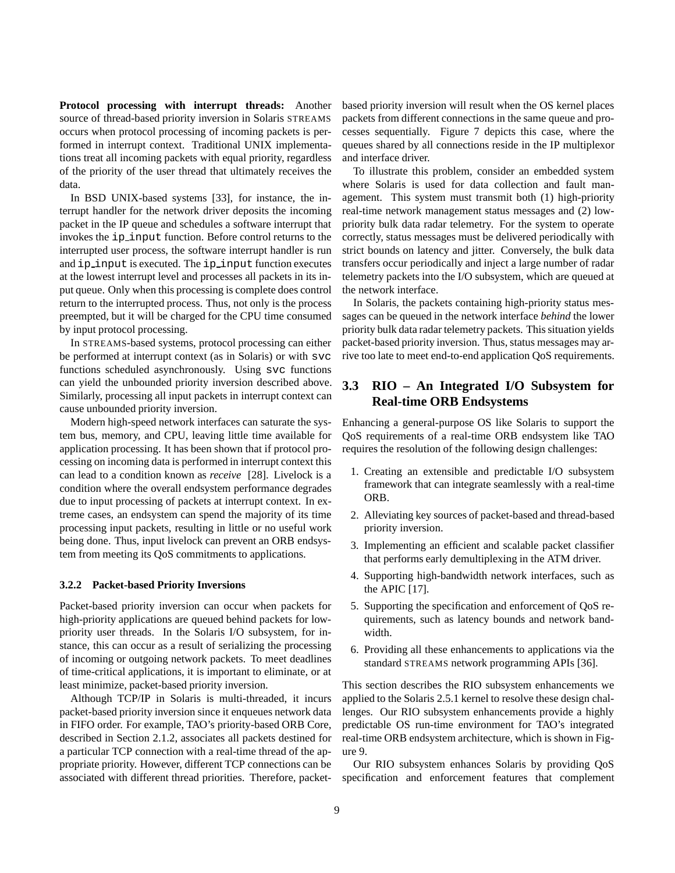**Protocol processing with interrupt threads:** Another source of thread-based priority inversion in Solaris STREAMS occurs when protocol processing of incoming packets is performed in interrupt context. Traditional UNIX implementations treat all incoming packets with equal priority, regardless of the priority of the user thread that ultimately receives the data.

In BSD UNIX-based systems [33], for instance, the interrupt handler for the network driver deposits the incoming packet in the IP queue and schedules a software interrupt that invokes the ip input function. Before control returns to the interrupted user process, the software interrupt handler is run and ip input is executed. The ip input function executes at the lowest interrupt level and processes all packets in its input queue. Only when this processing is complete does control return to the interrupted process. Thus, not only is the process preempted, but it will be charged for the CPU time consumed by input protocol processing.

In STREAMS-based systems, protocol processing can either be performed at interrupt context (as in Solaris) or with svc functions scheduled asynchronously. Using svc functions can yield the unbounded priority inversion described above. Similarly, processing all input packets in interrupt context can cause unbounded priority inversion.

Modern high-speed network interfaces can saturate the system bus, memory, and CPU, leaving little time available for application processing. It has been shown that if protocol processing on incoming data is performed in interrupt context this can lead to a condition known as *receive* [28]. Livelock is a condition where the overall endsystem performance degrades due to input processing of packets at interrupt context. In extreme cases, an endsystem can spend the majority of its time processing input packets, resulting in little or no useful work being done. Thus, input livelock can prevent an ORB endsystem from meeting its QoS commitments to applications.

#### **3.2.2 Packet-based Priority Inversions**

Packet-based priority inversion can occur when packets for high-priority applications are queued behind packets for lowpriority user threads. In the Solaris I/O subsystem, for instance, this can occur as a result of serializing the processing of incoming or outgoing network packets. To meet deadlines of time-critical applications, it is important to eliminate, or at least minimize, packet-based priority inversion.

Although TCP/IP in Solaris is multi-threaded, it incurs packet-based priority inversion since it enqueues network data in FIFO order. For example, TAO's priority-based ORB Core, described in Section 2.1.2, associates all packets destined for a particular TCP connection with a real-time thread of the appropriate priority. However, different TCP connections can be associated with different thread priorities. Therefore, packetbased priority inversion will result when the OS kernel places packets from different connections in the same queue and processes sequentially. Figure 7 depicts this case, where the queues shared by all connections reside in the IP multiplexor and interface driver.

To illustrate this problem, consider an embedded system where Solaris is used for data collection and fault management. This system must transmit both (1) high-priority real-time network management status messages and (2) lowpriority bulk data radar telemetry. For the system to operate correctly, status messages must be delivered periodically with strict bounds on latency and jitter. Conversely, the bulk data transfers occur periodically and inject a large number of radar telemetry packets into the I/O subsystem, which are queued at the network interface.

In Solaris, the packets containing high-priority status messages can be queued in the network interface *behind* the lower priority bulk data radar telemetry packets. This situation yields packet-based priority inversion. Thus, status messages may arrive too late to meet end-to-end application QoS requirements.

# **3.3 RIO – An Integrated I/O Subsystem for Real-time ORB Endsystems**

Enhancing a general-purpose OS like Solaris to support the QoS requirements of a real-time ORB endsystem like TAO requires the resolution of the following design challenges:

- 1. Creating an extensible and predictable I/O subsystem framework that can integrate seamlessly with a real-time ORB.
- 2. Alleviating key sources of packet-based and thread-based priority inversion.
- 3. Implementing an efficient and scalable packet classifier that performs early demultiplexing in the ATM driver.
- 4. Supporting high-bandwidth network interfaces, such as the APIC [17].
- 5. Supporting the specification and enforcement of QoS requirements, such as latency bounds and network bandwidth.
- 6. Providing all these enhancements to applications via the standard STREAMS network programming APIs [36].

This section describes the RIO subsystem enhancements we applied to the Solaris 2.5.1 kernel to resolve these design challenges. Our RIO subsystem enhancements provide a highly predictable OS run-time environment for TAO's integrated real-time ORB endsystem architecture, which is shown in Figure 9.

Our RIO subsystem enhances Solaris by providing QoS specification and enforcement features that complement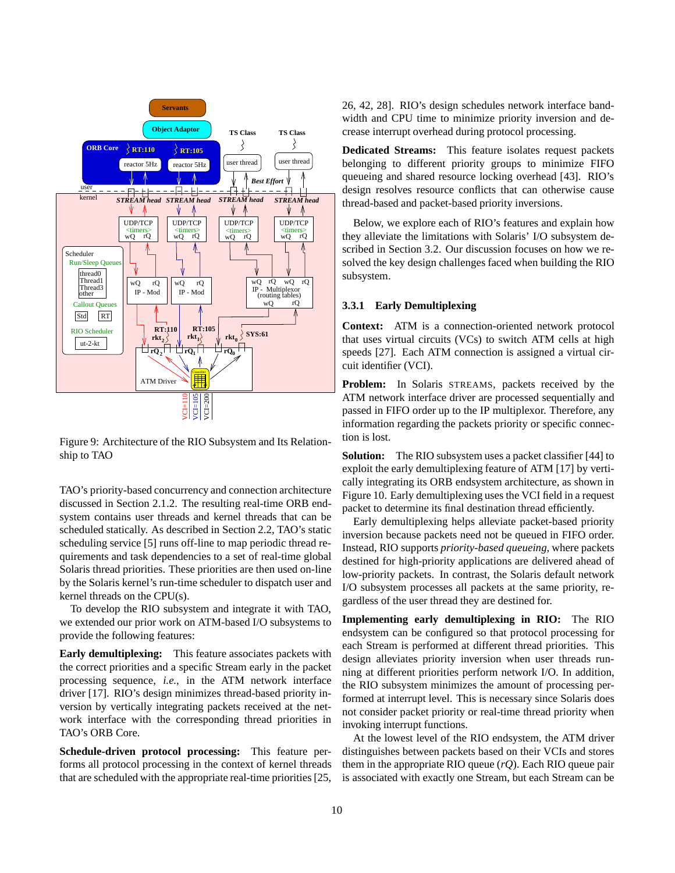

Figure 9: Architecture of the RIO Subsystem and Its Relationship to TAO

TAO's priority-based concurrency and connection architecture discussed in Section 2.1.2. The resulting real-time ORB endsystem contains user threads and kernel threads that can be scheduled statically. As described in Section 2.2, TAO's static scheduling service [5] runs off-line to map periodic thread requirements and task dependencies to a set of real-time global Solaris thread priorities. These priorities are then used on-line by the Solaris kernel's run-time scheduler to dispatch user and kernel threads on the CPU(s).

To develop the RIO subsystem and integrate it with TAO, we extended our prior work on ATM-based I/O subsystems to provide the following features:

**Early demultiplexing:** This feature associates packets with the correct priorities and a specific Stream early in the packet processing sequence, *i.e.*, in the ATM network interface driver [17]. RIO's design minimizes thread-based priority inversion by vertically integrating packets received at the network interface with the corresponding thread priorities in TAO's ORB Core.

**Schedule-driven protocol processing:** This feature performs all protocol processing in the context of kernel threads that are scheduled with the appropriate real-time priorities [25, 26, 42, 28]. RIO's design schedules network interface bandwidth and CPU time to minimize priority inversion and decrease interrupt overhead during protocol processing.

**Dedicated Streams:** This feature isolates request packets belonging to different priority groups to minimize FIFO queueing and shared resource locking overhead [43]. RIO's design resolves resource conflicts that can otherwise cause thread-based and packet-based priority inversions.

Below, we explore each of RIO's features and explain how they alleviate the limitations with Solaris' I/O subsystem described in Section 3.2. Our discussion focuses on how we resolved the key design challenges faced when building the RIO subsystem.

#### **3.3.1 Early Demultiplexing**

**Context:** ATM is a connection-oriented network protocol that uses virtual circuits (VCs) to switch ATM cells at high speeds [27]. Each ATM connection is assigned a virtual circuit identifier (VCI).

**Problem:** In Solaris STREAMS, packets received by the ATM network interface driver are processed sequentially and passed in FIFO order up to the IP multiplexor. Therefore, any information regarding the packets priority or specific connection is lost.

**Solution:** The RIO subsystem uses a packet classifier [44] to exploit the early demultiplexing feature of ATM [17] by vertically integrating its ORB endsystem architecture, as shown in Figure 10. Early demultiplexing uses the VCI field in a request packet to determine its final destination thread efficiently.

Early demultiplexing helps alleviate packet-based priority inversion because packets need not be queued in FIFO order. Instead, RIO supports *priority-based queueing*, where packets destined for high-priority applications are delivered ahead of low-priority packets. In contrast, the Solaris default network I/O subsystem processes all packets at the same priority, regardless of the user thread they are destined for.

**Implementing early demultiplexing in RIO:** The RIO endsystem can be configured so that protocol processing for each Stream is performed at different thread priorities. This design alleviates priority inversion when user threads running at different priorities perform network I/O. In addition, the RIO subsystem minimizes the amount of processing performed at interrupt level. This is necessary since Solaris does not consider packet priority or real-time thread priority when invoking interrupt functions.

At the lowest level of the RIO endsystem, the ATM driver distinguishes between packets based on their VCIs and stores them in the appropriate RIO queue (*rQ*). Each RIO queue pair is associated with exactly one Stream, but each Stream can be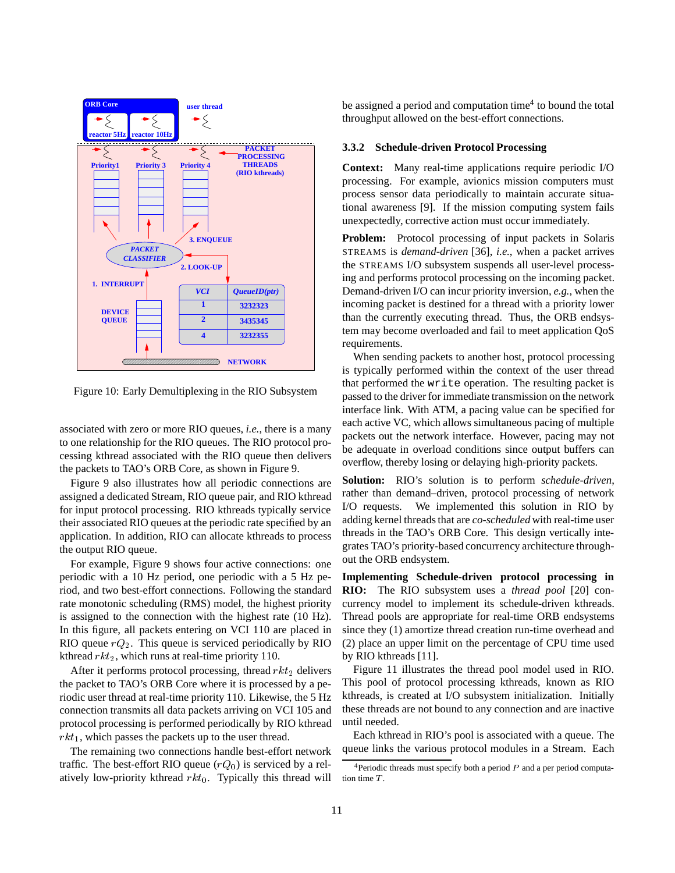

Figure 10: Early Demultiplexing in the RIO Subsystem

associated with zero or more RIO queues, *i.e.*, there is a many to one relationship for the RIO queues. The RIO protocol processing kthread associated with the RIO queue then delivers the packets to TAO's ORB Core, as shown in Figure 9.

Figure 9 also illustrates how all periodic connections are assigned a dedicated Stream, RIO queue pair, and RIO kthread for input protocol processing. RIO kthreads typically service their associated RIO queues at the periodic rate specified by an application. In addition, RIO can allocate kthreads to process the output RIO queue.

For example, Figure 9 shows four active connections: one periodic with a 10 Hz period, one periodic with a 5 Hz period, and two best-effort connections. Following the standard rate monotonic scheduling (RMS) model, the highest priority is assigned to the connection with the highest rate (10 Hz). In this figure, all packets entering on VCI 110 are placed in RIO queue  $rQ_2$ . This queue is serviced periodically by RIO kthread  $rkt_2$ , which runs at real-time priority 110.

After it performs protocol processing, thread  $rkt_2$  delivers the packet to TAO's ORB Core where it is processed by a periodic user thread at real-time priority 110. Likewise, the 5 Hz connection transmits all data packets arriving on VCI 105 and protocol processing is performed periodically by RIO kthread  $rkt_1$ , which passes the packets up to the user thread.

The remaining two connections handle best-effort network traffic. The best-effort RIO queue  $(rQ_0)$  is serviced by a relatively low-priority kthread  $rkt_0$ . Typically this thread will be assigned a period and computation time<sup>4</sup> to bound the total throughput allowed on the best-effort connections.

#### **3.3.2 Schedule-driven Protocol Processing**

**Context:** Many real-time applications require periodic I/O processing. For example, avionics mission computers must process sensor data periodically to maintain accurate situational awareness [9]. If the mission computing system fails unexpectedly, corrective action must occur immediately.

**Problem:** Protocol processing of input packets in Solaris STREAMS is *demand-driven* [36], *i.e.*, when a packet arrives the STREAMS I/O subsystem suspends all user-level processing and performs protocol processing on the incoming packet. Demand-driven I/O can incur priority inversion, *e.g.*, when the incoming packet is destined for a thread with a priority lower than the currently executing thread. Thus, the ORB endsystem may become overloaded and fail to meet application QoS requirements.

When sending packets to another host, protocol processing is typically performed within the context of the user thread that performed the write operation. The resulting packet is passed to the driver for immediate transmission on the network interface link. With ATM, a pacing value can be specified for each active VC, which allows simultaneous pacing of multiple packets out the network interface. However, pacing may not be adequate in overload conditions since output buffers can overflow, thereby losing or delaying high-priority packets.

**Solution:** RIO's solution is to perform *schedule-driven*, rather than demand–driven, protocol processing of network I/O requests. We implemented this solution in RIO by adding kernel threads that are *co-scheduled* with real-time user threads in the TAO's ORB Core. This design vertically integrates TAO's priority-based concurrency architecture throughout the ORB endsystem.

**Implementing Schedule-driven protocol processing in RIO:** The RIO subsystem uses a *thread pool* [20] concurrency model to implement its schedule-driven kthreads. Thread pools are appropriate for real-time ORB endsystems since they (1) amortize thread creation run-time overhead and (2) place an upper limit on the percentage of CPU time used by RIO kthreads [11].

Figure 11 illustrates the thread pool model used in RIO. This pool of protocol processing kthreads, known as RIO kthreads, is created at I/O subsystem initialization. Initially these threads are not bound to any connection and are inactive until needed.

Each kthread in RIO's pool is associated with a queue. The queue links the various protocol modules in a Stream. Each

<sup>&</sup>lt;sup>4</sup>Periodic threads must specify both a period  $P$  and a per period computation time T.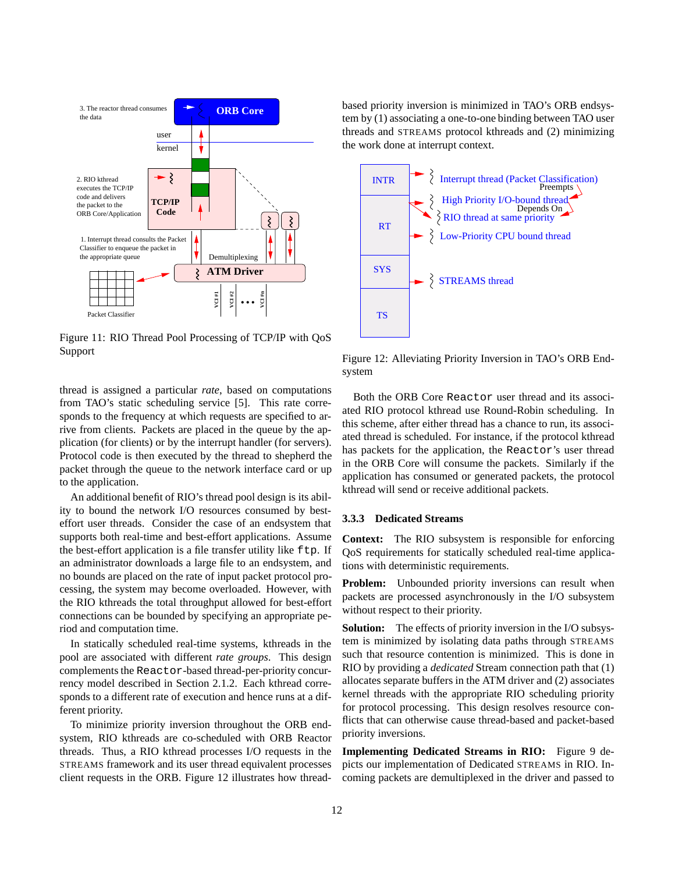

Figure 11: RIO Thread Pool Processing of TCP/IP with QoS Support

thread is assigned a particular *rate*, based on computations from TAO's static scheduling service [5]. This rate corresponds to the frequency at which requests are specified to arrive from clients. Packets are placed in the queue by the application (for clients) or by the interrupt handler (for servers). Protocol code is then executed by the thread to shepherd the packet through the queue to the network interface card or up to the application.

An additional benefit of RIO's thread pool design is its ability to bound the network I/O resources consumed by besteffort user threads. Consider the case of an endsystem that supports both real-time and best-effort applications. Assume the best-effort application is a file transfer utility like  $ftp$ . If an administrator downloads a large file to an endsystem, and no bounds are placed on the rate of input packet protocol processing, the system may become overloaded. However, with the RIO kthreads the total throughput allowed for best-effort connections can be bounded by specifying an appropriate period and computation time.

In statically scheduled real-time systems, kthreads in the pool are associated with different *rate groups*. This design complements the Reactor-based thread-per-priority concurrency model described in Section 2.1.2. Each kthread corresponds to a different rate of execution and hence runs at a different priority.

To minimize priority inversion throughout the ORB endsystem, RIO kthreads are co-scheduled with ORB Reactor threads. Thus, a RIO kthread processes I/O requests in the STREAMS framework and its user thread equivalent processes client requests in the ORB. Figure 12 illustrates how threadbased priority inversion is minimized in TAO's ORB endsystem by (1) associating a one-to-one binding between TAO user threads and STREAMS protocol kthreads and (2) minimizing the work done at interrupt context.



Figure 12: Alleviating Priority Inversion in TAO's ORB Endsystem

Both the ORB Core Reactor user thread and its associated RIO protocol kthread use Round-Robin scheduling. In this scheme, after either thread has a chance to run, its associated thread is scheduled. For instance, if the protocol kthread has packets for the application, the Reactor's user thread in the ORB Core will consume the packets. Similarly if the application has consumed or generated packets, the protocol kthread will send or receive additional packets.

## **3.3.3 Dedicated Streams**

**Context:** The RIO subsystem is responsible for enforcing QoS requirements for statically scheduled real-time applications with deterministic requirements.

**Problem:** Unbounded priority inversions can result when packets are processed asynchronously in the I/O subsystem without respect to their priority.

**Solution:** The effects of priority inversion in the I/O subsystem is minimized by isolating data paths through STREAMS such that resource contention is minimized. This is done in RIO by providing a *dedicated* Stream connection path that (1) allocates separate buffers in the ATM driver and (2) associates kernel threads with the appropriate RIO scheduling priority for protocol processing. This design resolves resource conflicts that can otherwise cause thread-based and packet-based priority inversions.

**Implementing Dedicated Streams in RIO:** Figure 9 depicts our implementation of Dedicated STREAMS in RIO. Incoming packets are demultiplexed in the driver and passed to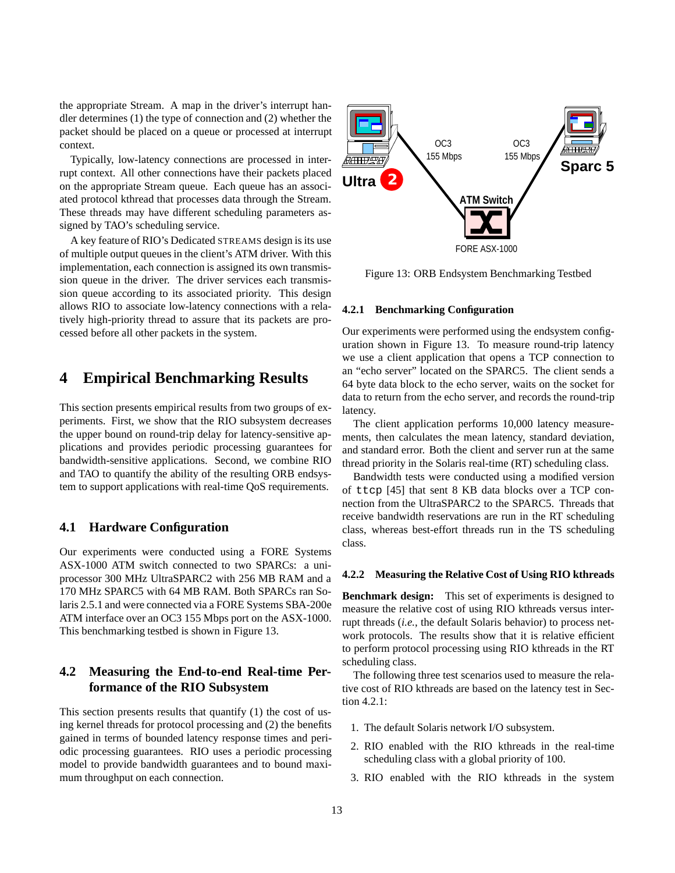the appropriate Stream. A map in the driver's interrupt handler determines (1) the type of connection and (2) whether the packet should be placed on a queue or processed at interrupt context.

Typically, low-latency connections are processed in interrupt context. All other connections have their packets placed on the appropriate Stream queue. Each queue has an associated protocol kthread that processes data through the Stream. These threads may have different scheduling parameters assigned by TAO's scheduling service.

A key feature of RIO's Dedicated STREAMS design is its use of multiple output queues in the client's ATM driver. With this implementation, each connection is assigned its own transmission queue in the driver. The driver services each transmission queue according to its associated priority. This design allows RIO to associate low-latency connections with a relatively high-priority thread to assure that its packets are processed before all other packets in the system.

# **4 Empirical Benchmarking Results**

This section presents empirical results from two groups of experiments. First, we show that the RIO subsystem decreases the upper bound on round-trip delay for latency-sensitive applications and provides periodic processing guarantees for bandwidth-sensitive applications. Second, we combine RIO and TAO to quantify the ability of the resulting ORB endsystem to support applications with real-time QoS requirements.

# **4.1 Hardware Configuration**

Our experiments were conducted using a FORE Systems ASX-1000 ATM switch connected to two SPARCs: a uniprocessor 300 MHz UltraSPARC2 with 256 MB RAM and a 170 MHz SPARC5 with 64 MB RAM. Both SPARCs ran Solaris 2.5.1 and were connected via a FORE Systems SBA-200e ATM interface over an OC3 155 Mbps port on the ASX-1000. This benchmarking testbed is shown in Figure 13.

# **4.2 Measuring the End-to-end Real-time Performance of the RIO Subsystem**

This section presents results that quantify (1) the cost of using kernel threads for protocol processing and (2) the benefits gained in terms of bounded latency response times and periodic processing guarantees. RIO uses a periodic processing model to provide bandwidth guarantees and to bound maximum throughput on each connection.



Figure 13: ORB Endsystem Benchmarking Testbed

## **4.2.1 Benchmarking Configuration**

Our experiments were performed using the endsystem configuration shown in Figure 13. To measure round-trip latency we use a client application that opens a TCP connection to an "echo server" located on the SPARC5. The client sends a 64 byte data block to the echo server, waits on the socket for data to return from the echo server, and records the round-trip latency.

The client application performs 10,000 latency measurements, then calculates the mean latency, standard deviation, and standard error. Both the client and server run at the same thread priority in the Solaris real-time (RT) scheduling class.

Bandwidth tests were conducted using a modified version of ttcp [45] that sent 8 KB data blocks over a TCP connection from the UltraSPARC2 to the SPARC5. Threads that receive bandwidth reservations are run in the RT scheduling class, whereas best-effort threads run in the TS scheduling class.

#### **4.2.2 Measuring the Relative Cost of Using RIO kthreads**

**Benchmark design:** This set of experiments is designed to measure the relative cost of using RIO kthreads versus interrupt threads (*i.e.*, the default Solaris behavior) to process network protocols. The results show that it is relative efficient to perform protocol processing using RIO kthreads in the RT scheduling class.

The following three test scenarios used to measure the relative cost of RIO kthreads are based on the latency test in Section 4.2.1:

- 1. The default Solaris network I/O subsystem.
- 2. RIO enabled with the RIO kthreads in the real-time scheduling class with a global priority of 100.
- 3. RIO enabled with the RIO kthreads in the system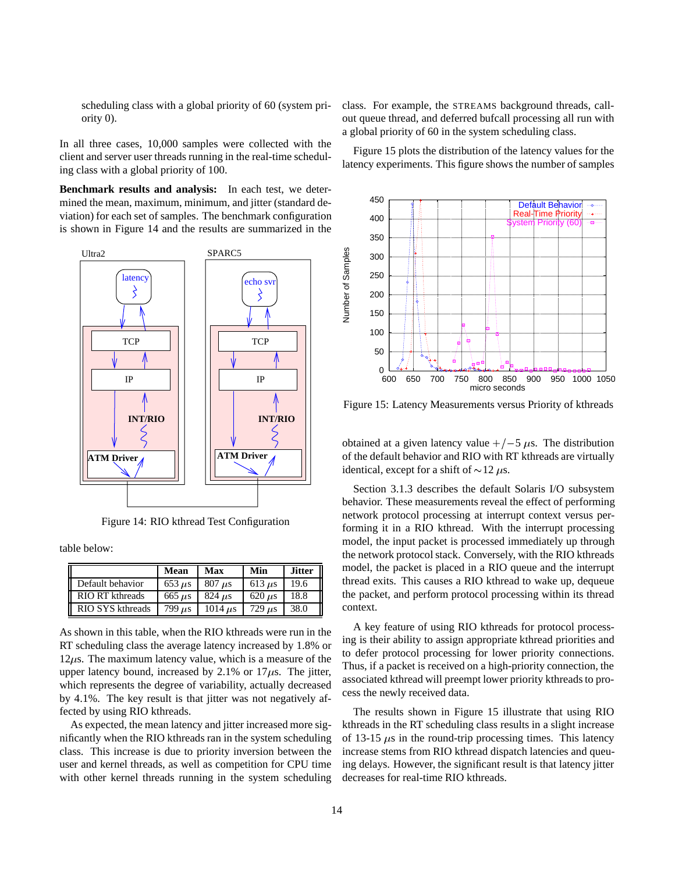scheduling class with a global priority of 60 (system priority 0).

In all three cases, 10,000 samples were collected with the client and server user threads running in the real-time scheduling class with a global priority of 100.

**Benchmark results and analysis:** In each test, we determined the mean, maximum, minimum, and jitter (standard deviation) for each set of samples. The benchmark configuration is shown in Figure 14 and the results are summarized in the



Figure 14: RIO kthread Test Configuration

table below:

|                  | Mean                      | Max                       | Min                       | <b>Jitter</b> |
|------------------|---------------------------|---------------------------|---------------------------|---------------|
| Default behavior | $653 \text{ }\mu\text{s}$ | $807 \text{ }\mu\text{s}$ | $613 \text{ }\mu\text{s}$ | 19.6          |
| RIO RT kthreads  | $665 \text{ }\mu\text{s}$ | $824 \text{ }\mu\text{s}$ | $620 \text{ }\mu\text{s}$ | 18.8          |
| RIO SYS kthreads | $799 \text{ }\mu\text{s}$ | $1014$ $\mu$ s            | $729 \text{ }\mu\text{s}$ | 38.0          |

As shown in this table, when the RIO kthreads were run in the RT scheduling class the average latency increased by 1.8% or  $12\mu$ s. The maximum latency value, which is a measure of the upper latency bound, increased by 2.1% or 17 $\mu$ s. The jitter, which represents the degree of variability, actually decreased by 4.1%. The key result is that jitter was not negatively affected by using RIO kthreads.

As expected, the mean latency and jitter increased more significantly when the RIO kthreads ran in the system scheduling class. This increase is due to priority inversion between the user and kernel threads, as well as competition for CPU time with other kernel threads running in the system scheduling class. For example, the STREAMS background threads, callout queue thread, and deferred bufcall processing all run with a global priority of 60 in the system scheduling class.

Figure 15 plots the distribution of the latency values for the latency experiments. This figure shows the number of samples



Figure 15: Latency Measurements versus Priority of kthreads

obtained at a given latency value  $+/-5 \mu s$ . The distribution of the default behavior and RIO with RT kthreads are virtually identical, except for a shift of  $\sim$ 12  $\mu$ s.

Section 3.1.3 describes the default Solaris I/O subsystem behavior. These measurements reveal the effect of performing network protocol processing at interrupt context versus performing it in a RIO kthread. With the interrupt processing model, the input packet is processed immediately up through the network protocol stack. Conversely, with the RIO kthreads model, the packet is placed in a RIO queue and the interrupt thread exits. This causes a RIO kthread to wake up, dequeue the packet, and perform protocol processing within its thread context.

A key feature of using RIO kthreads for protocol processing is their ability to assign appropriate kthread priorities and to defer protocol processing for lower priority connections. Thus, if a packet is received on a high-priority connection, the associated kthread will preempt lower priority kthreads to process the newly received data.

The results shown in Figure 15 illustrate that using RIO kthreads in the RT scheduling class results in a slight increase of 13-15  $\mu$ s in the round-trip processing times. This latency increase stems from RIO kthread dispatch latencies and queuing delays. However, the significant result is that latency jitter decreases for real-time RIO kthreads.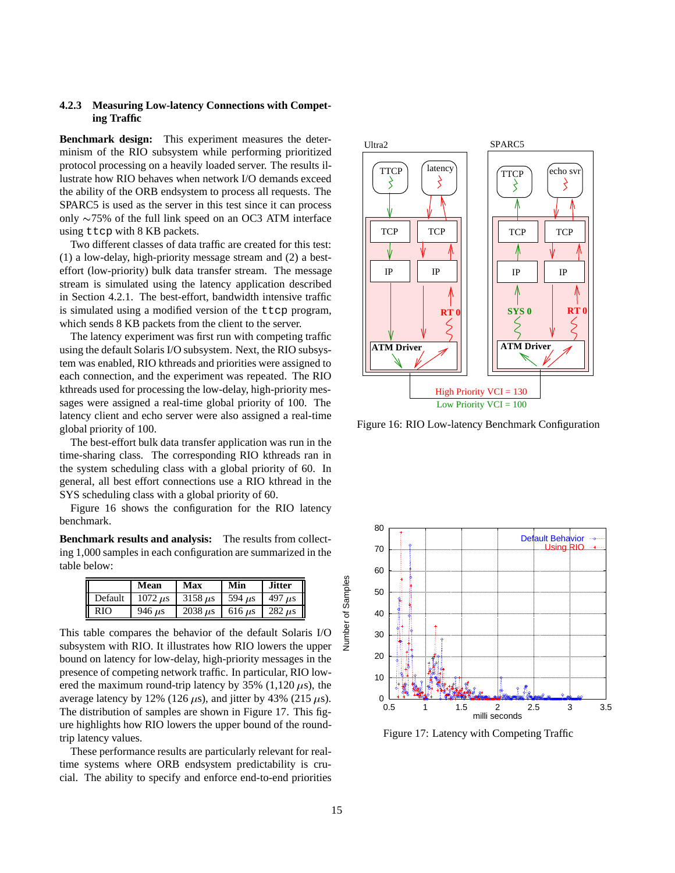## **4.2.3 Measuring Low-latency Connections with Competing Traffic**

**Benchmark design:** This experiment measures the determinism of the RIO subsystem while performing prioritized protocol processing on a heavily loaded server. The results illustrate how RIO behaves when network I/O demands exceed the ability of the ORB endsystem to process all requests. The SPARC5 is used as the server in this test since it can process only  $\sim$ 75% of the full link speed on an OC3 ATM interface using ttcp with 8 KB packets.

Two different classes of data traffic are created for this test: (1) a low-delay, high-priority message stream and (2) a besteffort (low-priority) bulk data transfer stream. The message stream is simulated using the latency application described in Section 4.2.1. The best-effort, bandwidth intensive traffic is simulated using a modified version of the ttcp program, which sends 8 KB packets from the client to the server.

The latency experiment was first run with competing traffic using the default Solaris I/O subsystem. Next, the RIO subsystem was enabled, RIO kthreads and priorities were assigned to each connection, and the experiment was repeated. The RIO kthreads used for processing the low-delay, high-priority messages were assigned a real-time global priority of 100. The latency client and echo server were also assigned a real-time global priority of 100.

The best-effort bulk data transfer application was run in the time-sharing class. The corresponding RIO kthreads ran in the system scheduling class with a global priority of 60. In general, all best effort connections use a RIO kthread in the SYS scheduling class with a global priority of 60.

Figure 16 shows the configuration for the RIO latency benchmark.

**Benchmark results and analysis:** The results from collecting 1,000 samples in each configuration are summarized in the table below:

|         | Mean                       | Max                        | Min                       | <b>Jitter</b>             |
|---------|----------------------------|----------------------------|---------------------------|---------------------------|
| Default | $1072 \text{ }\mu\text{s}$ | $3158 \mu s$               | 594 $\mu$ s               | 497 $\mu$ s               |
| RIO     | $946 \text{ }\mu\text{s}$  | $2038 \text{ }\mu\text{s}$ | $616 \text{ }\mu\text{s}$ | $282 \text{ }\mu\text{s}$ |

This table compares the behavior of the default Solaris I/O subsystem with RIO. It illustrates how RIO lowers the upper bound on latency for low-delay, high-priority messages in the presence of competing network traffic. In particular, RIO lowered the maximum round-trip latency by 35% (1,120  $\mu$ s), the average latency by 12% (126  $\mu$ s), and jitter by 43% (215  $\mu$ s). The distribution of samples are shown in Figure 17. This figure highlights how RIO lowers the upper bound of the roundtrip latency values.

These performance results are particularly relevant for realtime systems where ORB endsystem predictability is crucial. The ability to specify and enforce end-to-end priorities



Figure 16: RIO Low-latency Benchmark Configuration



Figure 17: Latency with Competing Traffic

Number of Samples

**Jumber of Samples**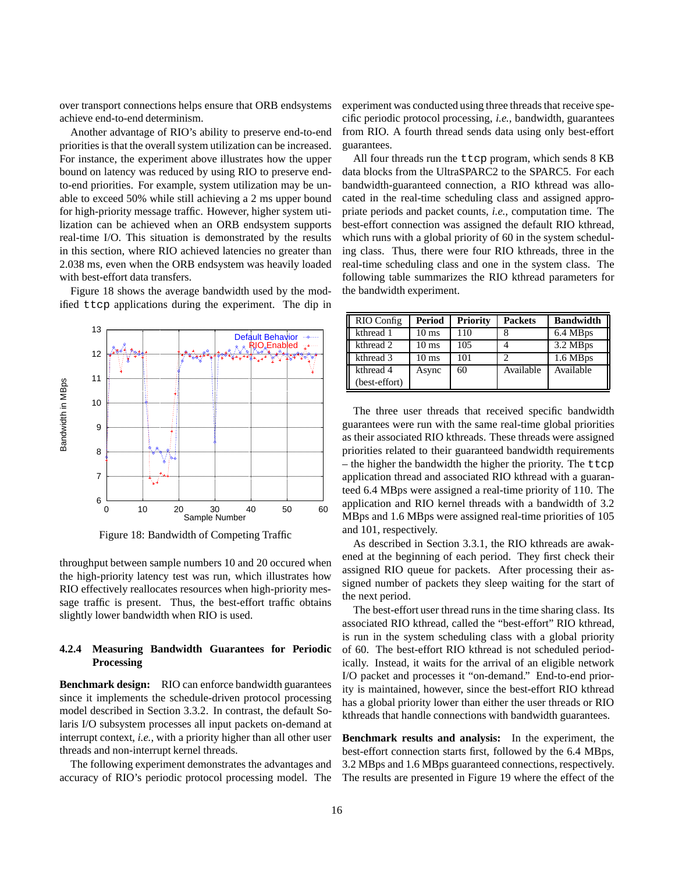over transport connections helps ensure that ORB endsystems achieve end-to-end determinism.

Another advantage of RIO's ability to preserve end-to-end priorities is that the overall system utilization can be increased. For instance, the experiment above illustrates how the upper bound on latency was reduced by using RIO to preserve endto-end priorities. For example, system utilization may be unable to exceed 50% while still achieving a 2 ms upper bound for high-priority message traffic. However, higher system utilization can be achieved when an ORB endsystem supports real-time I/O. This situation is demonstrated by the results in this section, where RIO achieved latencies no greater than 2.038 ms, even when the ORB endsystem was heavily loaded with best-effort data transfers.

Figure 18 shows the average bandwidth used by the modified ttcp applications during the experiment. The dip in



Figure 18: Bandwidth of Competing Traffic

throughput between sample numbers 10 and 20 occured when the high-priority latency test was run, which illustrates how RIO effectively reallocates resources when high-priority message traffic is present. Thus, the best-effort traffic obtains slightly lower bandwidth when RIO is used.

## **4.2.4 Measuring Bandwidth Guarantees for Periodic Processing**

**Benchmark design:** RIO can enforce bandwidth guarantees since it implements the schedule-driven protocol processing model described in Section 3.3.2. In contrast, the default Solaris I/O subsystem processes all input packets on-demand at interrupt context, *i.e.*, with a priority higher than all other user threads and non-interrupt kernel threads.

The following experiment demonstrates the advantages and accuracy of RIO's periodic protocol processing model. The experiment was conducted using three threads that receive specific periodic protocol processing, *i.e.*, bandwidth, guarantees from RIO. A fourth thread sends data using only best-effort guarantees.

All four threads run the ttcp program, which sends 8 KB data blocks from the UltraSPARC2 to the SPARC5. For each bandwidth-guaranteed connection, a RIO kthread was allocated in the real-time scheduling class and assigned appropriate periods and packet counts, *i.e.*, computation time. The best-effort connection was assigned the default RIO kthread, which runs with a global priority of 60 in the system scheduling class. Thus, there were four RIO kthreads, three in the real-time scheduling class and one in the system class. The following table summarizes the RIO kthread parameters for the bandwidth experiment.

| RIO Config    | Period          | <b>Priority</b> | <b>Packets</b> | <b>Bandwidth</b> |
|---------------|-----------------|-----------------|----------------|------------------|
| kthread 1     | $10 \text{ ms}$ | 110             |                | 6.4 MBps         |
| kthread 2     | $10 \text{ ms}$ | 105             |                | 3.2 MBps         |
| kthread 3     | $10 \text{ ms}$ | 101             | ∍              | 1.6 MBps         |
| kthread 4     | Async           | 60              | Available      | Available        |
| (best-effort) |                 |                 |                |                  |

The three user threads that received specific bandwidth guarantees were run with the same real-time global priorities as their associated RIO kthreads. These threads were assigned priorities related to their guaranteed bandwidth requirements – the higher the bandwidth the higher the priority. The ttcp application thread and associated RIO kthread with a guaranteed 6.4 MBps were assigned a real-time priority of 110. The application and RIO kernel threads with a bandwidth of 3.2 MBps and 1.6 MBps were assigned real-time priorities of 105 and 101, respectively.

As described in Section 3.3.1, the RIO kthreads are awakened at the beginning of each period. They first check their assigned RIO queue for packets. After processing their assigned number of packets they sleep waiting for the start of the next period.

The best-effort user thread runs in the time sharing class. Its associated RIO kthread, called the "best-effort" RIO kthread, is run in the system scheduling class with a global priority of 60. The best-effort RIO kthread is not scheduled periodically. Instead, it waits for the arrival of an eligible network I/O packet and processes it "on-demand." End-to-end priority is maintained, however, since the best-effort RIO kthread has a global priority lower than either the user threads or RIO kthreads that handle connections with bandwidth guarantees.

**Benchmark results and analysis:** In the experiment, the best-effort connection starts first, followed by the 6.4 MBps, 3.2 MBps and 1.6 MBps guaranteed connections, respectively. The results are presented in Figure 19 where the effect of the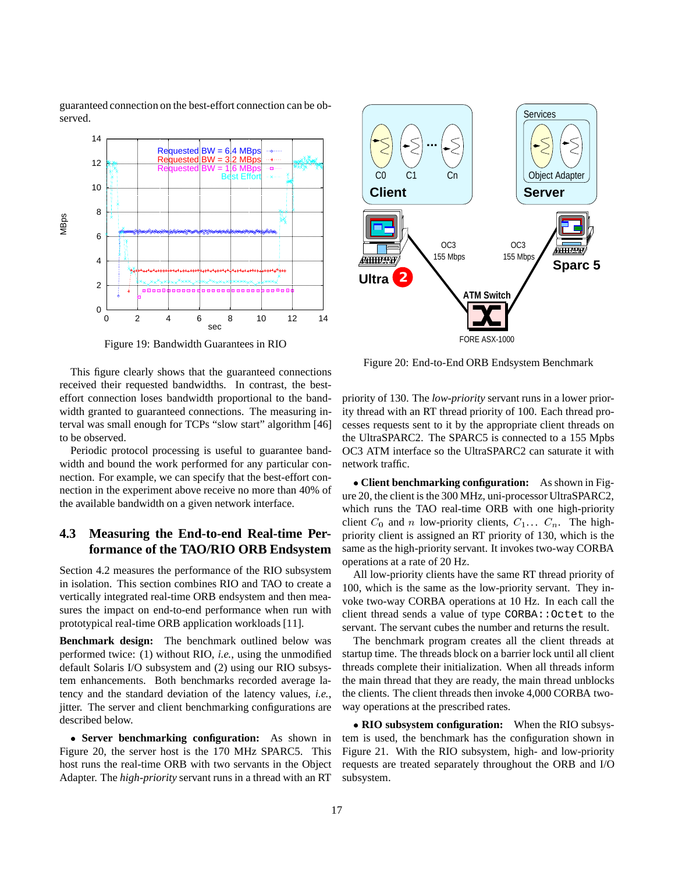guaranteed connection on the best-effort connection can be observed.



Figure 19: Bandwidth Guarantees in RIO



Figure 20: End-to-End ORB Endsystem Benchmark

This figure clearly shows that the guaranteed connections received their requested bandwidths. In contrast, the besteffort connection loses bandwidth proportional to the bandwidth granted to guaranteed connections. The measuring interval was small enough for TCPs "slow start" algorithm [46] to be observed.

Periodic protocol processing is useful to guarantee bandwidth and bound the work performed for any particular connection. For example, we can specify that the best-effort connection in the experiment above receive no more than 40% of the available bandwidth on a given network interface.

# **4.3 Measuring the End-to-end Real-time Performance of the TAO/RIO ORB Endsystem**

Section 4.2 measures the performance of the RIO subsystem in isolation. This section combines RIO and TAO to create a vertically integrated real-time ORB endsystem and then measures the impact on end-to-end performance when run with prototypical real-time ORB application workloads [11].

**Benchmark design:** The benchmark outlined below was performed twice: (1) without RIO, *i.e.*, using the unmodified default Solaris I/O subsystem and (2) using our RIO subsystem enhancements. Both benchmarks recorded average latency and the standard deviation of the latency values, *i.e.*, jitter. The server and client benchmarking configurations are described below.

 **Server benchmarking configuration:** As shown in Figure 20, the server host is the 170 MHz SPARC5. This host runs the real-time ORB with two servants in the Object Adapter. The *high-priority* servant runs in a thread with an RT

priority of 130. The *low-priority* servant runs in a lower priority thread with an RT thread priority of 100. Each thread processes requests sent to it by the appropriate client threads on the UltraSPARC2. The SPARC5 is connected to a 155 Mpbs OC3 ATM interface so the UltraSPARC2 can saturate it with network traffic.

 **Client benchmarking configuration:** As shown in Figure 20, the client is the 300 MHz, uni-processor UltraSPARC2, which runs the TAO real-time ORB with one high-priority client  $C_0$  and n low-priority clients,  $C_1 \ldots C_n$ . The highpriority client is assigned an RT priority of 130, which is the same as the high-priority servant. It invokes two-way CORBA operations at a rate of 20 Hz.

All low-priority clients have the same RT thread priority of 100, which is the same as the low-priority servant. They invoke two-way CORBA operations at 10 Hz. In each call the client thread sends a value of type CORBA:: Octet to the servant. The servant cubes the number and returns the result.

The benchmark program creates all the client threads at startup time. The threads block on a barrier lock until all client threads complete their initialization. When all threads inform the main thread that they are ready, the main thread unblocks the clients. The client threads then invoke 4,000 CORBA twoway operations at the prescribed rates.

 **RIO subsystem configuration:** When the RIO subsystem is used, the benchmark has the configuration shown in Figure 21. With the RIO subsystem, high- and low-priority requests are treated separately throughout the ORB and I/O subsystem.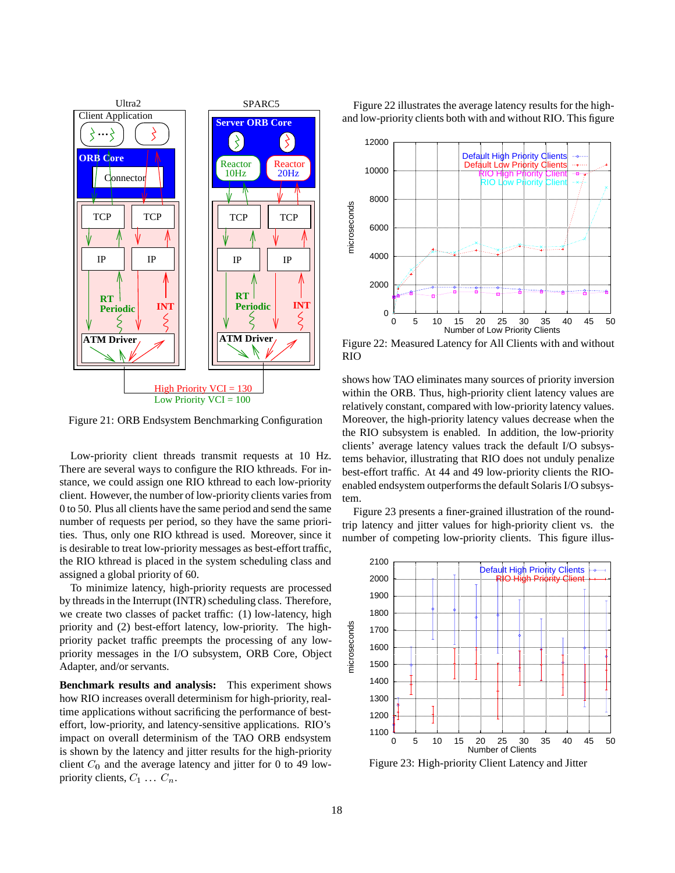

Figure 21: ORB Endsystem Benchmarking Configuration

Low-priority client threads transmit requests at 10 Hz. There are several ways to configure the RIO kthreads. For instance, we could assign one RIO kthread to each low-priority client. However, the number of low-priority clients varies from 0 to 50. Plus all clients have the same period and send the same number of requests per period, so they have the same priorities. Thus, only one RIO kthread is used. Moreover, since it is desirable to treat low-priority messages as best-effort traffic, the RIO kthread is placed in the system scheduling class and assigned a global priority of 60.

To minimize latency, high-priority requests are processed by threads in the Interrupt (INTR) scheduling class. Therefore, we create two classes of packet traffic: (1) low-latency, high priority and (2) best-effort latency, low-priority. The highpriority packet traffic preempts the processing of any lowpriority messages in the I/O subsystem, ORB Core, Object Adapter, and/or servants.

**Benchmark results and analysis:** This experiment shows how RIO increases overall determinism for high-priority, realtime applications without sacrificing the performance of besteffort, low-priority, and latency-sensitive applications. RIO's impact on overall determinism of the TAO ORB endsystem is shown by the latency and jitter results for the high-priority client  $C_0$  and the average latency and jitter for 0 to 49 lowpriority clients,  $C_1 \ldots C_n$ .

Figure 22 illustrates the average latency results for the highand low-priority clients both with and without RIO. This figure



Figure 22: Measured Latency for All Clients with and without RIO

shows how TAO eliminates many sources of priority inversion within the ORB. Thus, high-priority client latency values are relatively constant, compared with low-priority latency values. Moreover, the high-priority latency values decrease when the the RIO subsystem is enabled. In addition, the low-priority clients' average latency values track the default I/O subsystems behavior, illustrating that RIO does not unduly penalize best-effort traffic. At 44 and 49 low-priority clients the RIOenabled endsystem outperforms the default Solaris I/O subsystem.

Figure 23 presents a finer-grained illustration of the roundtrip latency and jitter values for high-priority client vs. the number of competing low-priority clients. This figure illus-



Figure 23: High-priority Client Latency and Jitter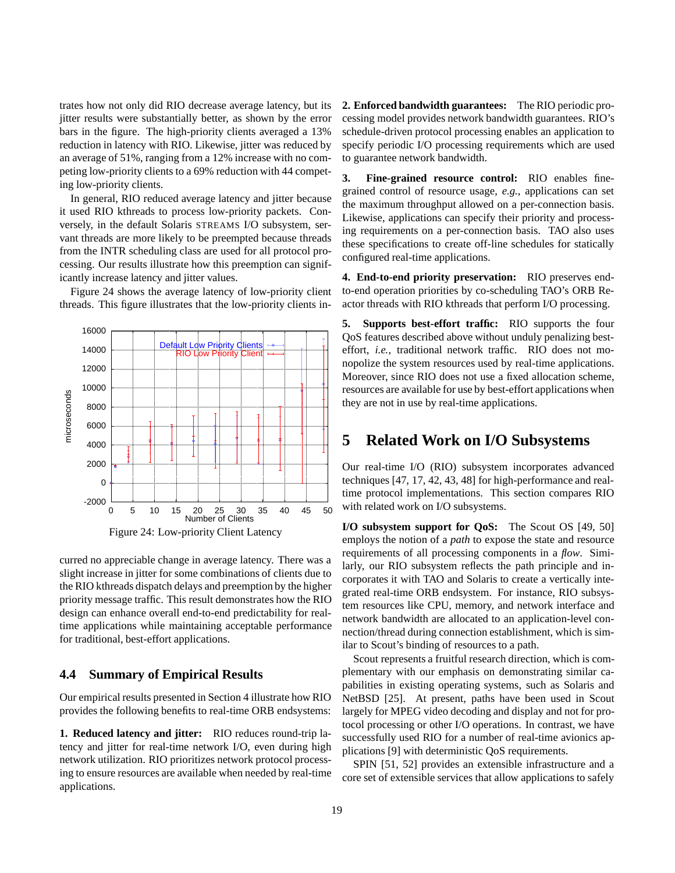trates how not only did RIO decrease average latency, but its jitter results were substantially better, as shown by the error bars in the figure. The high-priority clients averaged a 13% reduction in latency with RIO. Likewise, jitter was reduced by an average of 51%, ranging from a 12% increase with no competing low-priority clients to a 69% reduction with 44 competing low-priority clients.

In general, RIO reduced average latency and jitter because it used RIO kthreads to process low-priority packets. Conversely, in the default Solaris STREAMS I/O subsystem, servant threads are more likely to be preempted because threads from the INTR scheduling class are used for all protocol processing. Our results illustrate how this preemption can significantly increase latency and jitter values.

Figure 24 shows the average latency of low-priority client threads. This figure illustrates that the low-priority clients in-



curred no appreciable change in average latency. There was a slight increase in jitter for some combinations of clients due to the RIO kthreads dispatch delays and preemption by the higher priority message traffic. This result demonstrates how the RIO design can enhance overall end-to-end predictability for realtime applications while maintaining acceptable performance for traditional, best-effort applications.

## **4.4 Summary of Empirical Results**

Our empirical results presented in Section 4 illustrate how RIO provides the following benefits to real-time ORB endsystems:

**1. Reduced latency and jitter:** RIO reduces round-trip latency and jitter for real-time network I/O, even during high network utilization. RIO prioritizes network protocol processing to ensure resources are available when needed by real-time applications.

**2. Enforced bandwidth guarantees:** The RIO periodic processing model provides network bandwidth guarantees. RIO's schedule-driven protocol processing enables an application to specify periodic I/O processing requirements which are used to guarantee network bandwidth.

**3. Fine-grained resource control:** RIO enables finegrained control of resource usage, *e.g.*, applications can set the maximum throughput allowed on a per-connection basis. Likewise, applications can specify their priority and processing requirements on a per-connection basis. TAO also uses these specifications to create off-line schedules for statically configured real-time applications.

**4. End-to-end priority preservation:** RIO preserves endto-end operation priorities by co-scheduling TAO's ORB Reactor threads with RIO kthreads that perform I/O processing.

**5. Supports best-effort traffic:** RIO supports the four QoS features described above without unduly penalizing besteffort, *i.e.*, traditional network traffic. RIO does not monopolize the system resources used by real-time applications. Moreover, since RIO does not use a fixed allocation scheme, resources are available for use by best-effort applications when they are not in use by real-time applications.

# **5 Related Work on I/O Subsystems**

Our real-time I/O (RIO) subsystem incorporates advanced techniques [47, 17, 42, 43, 48] for high-performance and realtime protocol implementations. This section compares RIO with related work on I/O subsystems.

**I/O subsystem support for QoS:** The Scout OS [49, 50] employs the notion of a *path* to expose the state and resource requirements of all processing components in a *flow*. Similarly, our RIO subsystem reflects the path principle and incorporates it with TAO and Solaris to create a vertically integrated real-time ORB endsystem. For instance, RIO subsystem resources like CPU, memory, and network interface and network bandwidth are allocated to an application-level connection/thread during connection establishment, which is similar to Scout's binding of resources to a path.

Scout represents a fruitful research direction, which is complementary with our emphasis on demonstrating similar capabilities in existing operating systems, such as Solaris and NetBSD [25]. At present, paths have been used in Scout largely for MPEG video decoding and display and not for protocol processing or other I/O operations. In contrast, we have successfully used RIO for a number of real-time avionics applications [9] with deterministic QoS requirements.

SPIN [51, 52] provides an extensible infrastructure and a core set of extensible services that allow applications to safely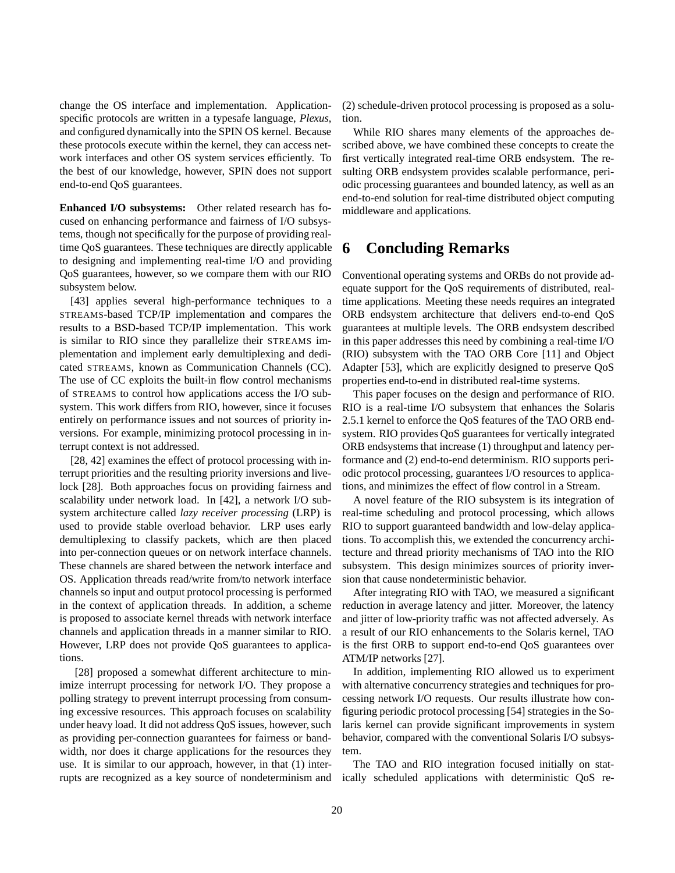change the OS interface and implementation. Applicationspecific protocols are written in a typesafe language, *Plexus*, and configured dynamically into the SPIN OS kernel. Because these protocols execute within the kernel, they can access network interfaces and other OS system services efficiently. To the best of our knowledge, however, SPIN does not support end-to-end QoS guarantees.

**Enhanced I/O subsystems:** Other related research has focused on enhancing performance and fairness of I/O subsystems, though not specifically for the purpose of providing realtime QoS guarantees. These techniques are directly applicable to designing and implementing real-time I/O and providing QoS guarantees, however, so we compare them with our RIO subsystem below.

[43] applies several high-performance techniques to a STREAMS-based TCP/IP implementation and compares the results to a BSD-based TCP/IP implementation. This work is similar to RIO since they parallelize their STREAMS implementation and implement early demultiplexing and dedicated STREAMS, known as Communication Channels (CC). The use of CC exploits the built-in flow control mechanisms of STREAMS to control how applications access the I/O subsystem. This work differs from RIO, however, since it focuses entirely on performance issues and not sources of priority inversions. For example, minimizing protocol processing in interrupt context is not addressed.

[28, 42] examines the effect of protocol processing with interrupt priorities and the resulting priority inversions and livelock [28]. Both approaches focus on providing fairness and scalability under network load. In [42], a network I/O subsystem architecture called *lazy receiver processing* (LRP) is used to provide stable overload behavior. LRP uses early demultiplexing to classify packets, which are then placed into per-connection queues or on network interface channels. These channels are shared between the network interface and OS. Application threads read/write from/to network interface channels so input and output protocol processing is performed in the context of application threads. In addition, a scheme is proposed to associate kernel threads with network interface channels and application threads in a manner similar to RIO. However, LRP does not provide QoS guarantees to applications.

[28] proposed a somewhat different architecture to minimize interrupt processing for network I/O. They propose a polling strategy to prevent interrupt processing from consuming excessive resources. This approach focuses on scalability under heavy load. It did not address QoS issues, however, such as providing per-connection guarantees for fairness or bandwidth, nor does it charge applications for the resources they use. It is similar to our approach, however, in that (1) interrupts are recognized as a key source of nondeterminism and (2) schedule-driven protocol processing is proposed as a solution.

While RIO shares many elements of the approaches described above, we have combined these concepts to create the first vertically integrated real-time ORB endsystem. The resulting ORB endsystem provides scalable performance, periodic processing guarantees and bounded latency, as well as an end-to-end solution for real-time distributed object computing middleware and applications.

# **6 Concluding Remarks**

Conventional operating systems and ORBs do not provide adequate support for the QoS requirements of distributed, realtime applications. Meeting these needs requires an integrated ORB endsystem architecture that delivers end-to-end QoS guarantees at multiple levels. The ORB endsystem described in this paper addresses this need by combining a real-time I/O (RIO) subsystem with the TAO ORB Core [11] and Object Adapter [53], which are explicitly designed to preserve QoS properties end-to-end in distributed real-time systems.

This paper focuses on the design and performance of RIO. RIO is a real-time I/O subsystem that enhances the Solaris 2.5.1 kernel to enforce the QoS features of the TAO ORB endsystem. RIO provides QoS guarantees for vertically integrated ORB endsystems that increase (1) throughput and latency performance and (2) end-to-end determinism. RIO supports periodic protocol processing, guarantees I/O resources to applications, and minimizes the effect of flow control in a Stream.

A novel feature of the RIO subsystem is its integration of real-time scheduling and protocol processing, which allows RIO to support guaranteed bandwidth and low-delay applications. To accomplish this, we extended the concurrency architecture and thread priority mechanisms of TAO into the RIO subsystem. This design minimizes sources of priority inversion that cause nondeterministic behavior.

After integrating RIO with TAO, we measured a significant reduction in average latency and jitter. Moreover, the latency and jitter of low-priority traffic was not affected adversely. As a result of our RIO enhancements to the Solaris kernel, TAO is the first ORB to support end-to-end QoS guarantees over ATM/IP networks [27].

In addition, implementing RIO allowed us to experiment with alternative concurrency strategies and techniques for processing network I/O requests. Our results illustrate how configuring periodic protocol processing [54] strategies in the Solaris kernel can provide significant improvements in system behavior, compared with the conventional Solaris I/O subsystem.

The TAO and RIO integration focused initially on statically scheduled applications with deterministic QoS re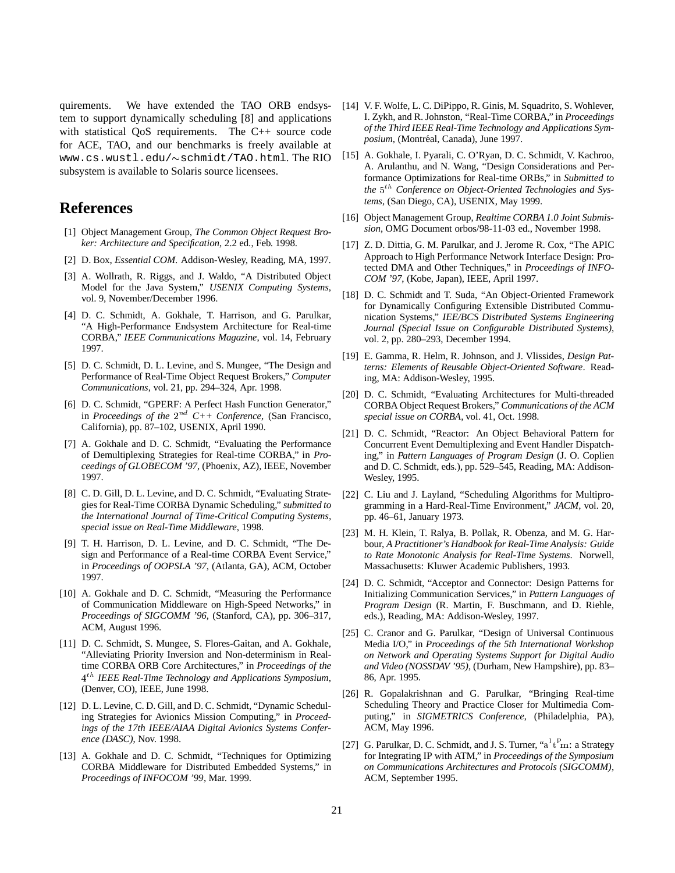quirements. We have extended the TAO ORB endsystem to support dynamically scheduling [8] and applications with statistical QoS requirements. The C++ source code for ACE, TAO, and our benchmarks is freely available at www.cs.wustl.edu/~schmidt/TAO.html.The RIO subsystem is available to Solaris source licensees.

# **References**

- [1] Object Management Group, *The Common Object Request Broker: Architecture and Specification*, 2.2 ed., Feb. 1998.
- [2] D. Box, *Essential COM*. Addison-Wesley, Reading, MA, 1997.
- [3] A. Wollrath, R. Riggs, and J. Waldo, "A Distributed Object Model for the Java System," *USENIX Computing Systems*, vol. 9, November/December 1996.
- [4] D. C. Schmidt, A. Gokhale, T. Harrison, and G. Parulkar, "A High-Performance Endsystem Architecture for Real-time CORBA," *IEEE Communications Magazine*, vol. 14, February 1997.
- [5] D. C. Schmidt, D. L. Levine, and S. Mungee, "The Design and Performance of Real-Time Object Request Brokers," *Computer Communications*, vol. 21, pp. 294–324, Apr. 1998.
- [6] D. C. Schmidt, "GPERF: A Perfect Hash Function Generator," in *Proceedings of the*  $2^{nd}$  C++ Conference, (San Francisco, California), pp. 87–102, USENIX, April 1990.
- [7] A. Gokhale and D. C. Schmidt, "Evaluating the Performance of Demultiplexing Strategies for Real-time CORBA," in *Proceedings of GLOBECOM '97*, (Phoenix, AZ), IEEE, November 1997.
- [8] C. D. Gill, D. L. Levine, and D. C. Schmidt, "Evaluating Strategies for Real-Time CORBA Dynamic Scheduling," *submitted to the International Journal of Time-Critical Computing Systems, special issue on Real-Time Middleware*, 1998.
- [9] T. H. Harrison, D. L. Levine, and D. C. Schmidt, "The Design and Performance of a Real-time CORBA Event Service," in *Proceedings of OOPSLA '97*, (Atlanta, GA), ACM, October 1997.
- [10] A. Gokhale and D. C. Schmidt, "Measuring the Performance of Communication Middleware on High-Speed Networks," in *Proceedings of SIGCOMM '96*, (Stanford, CA), pp. 306–317, ACM, August 1996.
- [11] D. C. Schmidt, S. Mungee, S. Flores-Gaitan, and A. Gokhale, "Alleviating Priority Inversion and Non-determinism in Realtime CORBA ORB Core Architectures," in *Proceedings of the* <sup>4</sup> th *IEEE Real-Time Technology and Applications Symposium*, (Denver, CO), IEEE, June 1998.
- [12] D. L. Levine, C. D. Gill, and D. C. Schmidt, "Dynamic Scheduling Strategies for Avionics Mission Computing," in *Proceedings of the 17th IEEE/AIAA Digital Avionics Systems Conference (DASC)*, Nov. 1998.
- [13] A. Gokhale and D. C. Schmidt, "Techniques for Optimizing CORBA Middleware for Distributed Embedded Systems," in *Proceedings of INFOCOM '99*, Mar. 1999.
- [14] V. F. Wolfe, L. C. DiPippo, R. Ginis, M. Squadrito, S. Wohlever, I. Zykh, and R. Johnston, "Real-Time CORBA," in *Proceedings of the Third IEEE Real-Time Technology and Applications Symposium*, (Montréal, Canada), June 1997.
- [15] A. Gokhale, I. Pyarali, C. O'Ryan, D. C. Schmidt, V. Kachroo, A. Arulanthu, and N. Wang, "Design Considerations and Performance Optimizations for Real-time ORBs," in *Submitted to* the 5<sup>th</sup> Conference on Object-Oriented Technologies and Sys*tems*, (San Diego, CA), USENIX, May 1999.
- [16] Object Management Group, *Realtime CORBA 1.0 Joint Submission*, OMG Document orbos/98-11-03 ed., November 1998.
- [17] Z. D. Dittia, G. M. Parulkar, and J. Jerome R. Cox, "The APIC Approach to High Performance Network Interface Design: Protected DMA and Other Techniques," in *Proceedings of INFO-COM '97*, (Kobe, Japan), IEEE, April 1997.
- [18] D. C. Schmidt and T. Suda, "An Object-Oriented Framework for Dynamically Configuring Extensible Distributed Communication Systems," *IEE/BCS Distributed Systems Engineering Journal (Special Issue on Configurable Distributed Systems)*, vol. 2, pp. 280–293, December 1994.
- [19] E. Gamma, R. Helm, R. Johnson, and J. Vlissides, *Design Patterns: Elements of Reusable Object-Oriented Software*. Reading, MA: Addison-Wesley, 1995.
- [20] D. C. Schmidt, "Evaluating Architectures for Multi-threaded CORBA Object Request Brokers," *Communications of the ACM special issue on CORBA*, vol. 41, Oct. 1998.
- [21] D. C. Schmidt, "Reactor: An Object Behavioral Pattern for Concurrent Event Demultiplexing and Event Handler Dispatching," in *Pattern Languages of Program Design* (J. O. Coplien and D. C. Schmidt, eds.), pp. 529–545, Reading, MA: Addison-Wesley, 1995.
- [22] C. Liu and J. Layland, "Scheduling Algorithms for Multiprogramming in a Hard-Real-Time Environment," *JACM*, vol. 20, pp. 46–61, January 1973.
- [23] M. H. Klein, T. Ralya, B. Pollak, R. Obenza, and M. G. Harbour, *A Practitioner's Handbook for Real-Time Analysis: Guide to Rate Monotonic Analysis for Real-Time Systems*. Norwell, Massachusetts: Kluwer Academic Publishers, 1993.
- [24] D. C. Schmidt, "Acceptor and Connector: Design Patterns for Initializing Communication Services," in *Pattern Languages of Program Design* (R. Martin, F. Buschmann, and D. Riehle, eds.), Reading, MA: Addison-Wesley, 1997.
- [25] C. Cranor and G. Parulkar, "Design of Universal Continuous Media I/O," in *Proceedings of the 5th International Workshop on Network and Operating Systems Support for Digital Audio and Video (NOSSDAV '95)*, (Durham, New Hampshire), pp. 83– 86, Apr. 1995.
- [26] R. Gopalakrishnan and G. Parulkar, "Bringing Real-time Scheduling Theory and Practice Closer for Multimedia Computing," in *SIGMETRICS Conference*, (Philadelphia, PA), ACM, May 1996.
- [27] G. Parulkar, D. C. Schmidt, and J. S. Turner, " $a^1t^Pm$ : a Strategy for Integrating IP with ATM," in *Proceedings of the Symposium on Communications Architectures and Protocols (SIGCOMM)*, ACM, September 1995.